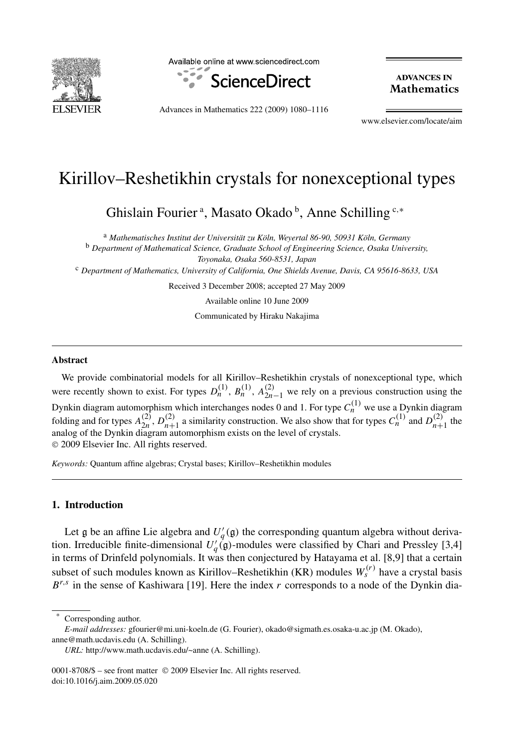

Available online at www.sciencedirect.com



**ADVANCES IN Mathematics** 

Advances in Mathematics 222 (2009) 1080–1116

www.elsevier.com/locate/aim

## Kirillov–Reshetikhin crystals for nonexceptional types

Ghislain Fourier<sup>a</sup>, Masato Okado<sup>b</sup>, Anne Schilling<sup>c,\*</sup>

<sup>a</sup> *Mathematisches Institut der Universität zu Köln, Weyertal 86-90, 50931 Köln, Germany* <sup>b</sup> *Department of Mathematical Science, Graduate School of Engineering Science, Osaka University,*

*Toyonaka, Osaka 560-8531, Japan*

<sup>c</sup> *Department of Mathematics, University of California, One Shields Avenue, Davis, CA 95616-8633, USA*

Received 3 December 2008; accepted 27 May 2009

Available online 10 June 2009

Communicated by Hiraku Nakajima

#### **Abstract**

We provide combinatorial models for all Kirillov–Reshetikhin crystals of nonexceptional type, which were recently shown to exist. For types  $D_n^{(1)}$ ,  $B_n^{(1)}$ ,  $A_{2n-1}^{(2)}$  we rely on a previous construction using the Dynkin diagram automorphism which interchanges nodes 0 and 1. For type  $C^{(1)}_n$  we use a Dynkin diagram folding and for types  $A_{2n}^{(2)}$ ,  $D_{n+1}^{(2)}$  a similarity construction. We also show that for types  $C_n^{(1)}$  and  $D_{n+1}^{(2)}$  the analog of the Dynkin diagram automorphism exists on the level of crystals. © 2009 Elsevier Inc. All rights reserved.

*Keywords:* Quantum affine algebras; Crystal bases; Kirillov–Reshetikhin modules

#### **1. Introduction**

Let  $\mathfrak g$  be an affine Lie algebra and  $U_q'(\mathfrak g)$  the corresponding quantum algebra without derivation. Irreducible finite-dimensional  $U_q^{\dagger}(\mathfrak{g})$ -modules were classified by Chari and Pressley [3,4] in terms of Drinfeld polynomials. It was then conjectured by Hatayama et al. [8,9] that a certain subset of such modules known as Kirillov–Reshetikhin (KR) modules  $W_s^{(r)}$  have a crystal basis  $B^{r,s}$  in the sense of Kashiwara [19]. Here the index *r* corresponds to a node of the Dynkin dia-

Corresponding author.

0001-8708/\$ – see front matter © 2009 Elsevier Inc. All rights reserved. doi:10.1016/j.aim.2009.05.020

*E-mail addresses:* gfourier@mi.uni-koeln.de (G. Fourier), okado@sigmath.es.osaka-u.ac.jp (M. Okado), anne@math.ucdavis.edu (A. Schilling).

*URL:* http://www.math.ucdavis.edu/~anne (A. Schilling).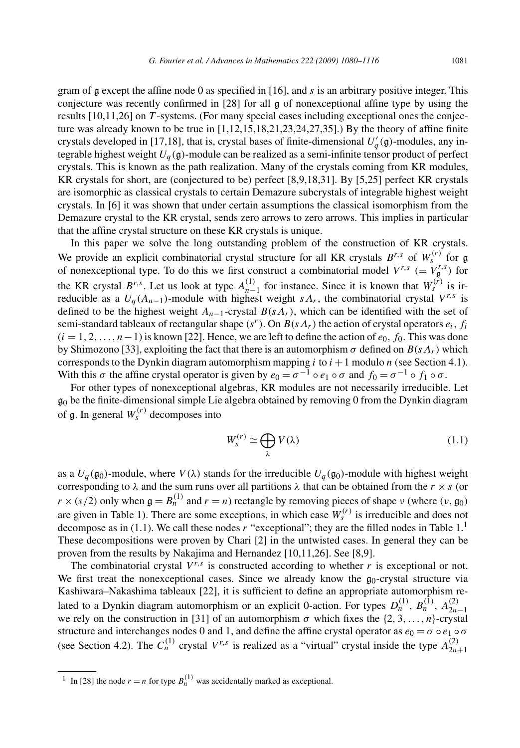gram of g except the affine node 0 as specified in [16], and *s* is an arbitrary positive integer. This conjecture was recently confirmed in [28] for all g of nonexceptional affine type by using the results [10,11,26] on *T* -systems. (For many special cases including exceptional ones the conjecture was already known to be true in [1,12,15,18,21,23,24,27,35].) By the theory of affine finite crystals developed in [17,18], that is, crystal bases of finite-dimensional  $U_q'(\mathfrak{g})$ -modules, any integrable highest weight  $U_q(\mathfrak{g})$ -module can be realized as a semi-infinite tensor product of perfect crystals. This is known as the path realization. Many of the crystals coming from KR modules, KR crystals for short, are (conjectured to be) perfect [8,9,18,31]. By [5,25] perfect KR crystals are isomorphic as classical crystals to certain Demazure subcrystals of integrable highest weight crystals. In [6] it was shown that under certain assumptions the classical isomorphism from the Demazure crystal to the KR crystal, sends zero arrows to zero arrows. This implies in particular that the affine crystal structure on these KR crystals is unique.

In this paper we solve the long outstanding problem of the construction of KR crystals. We provide an explicit combinatorial crystal structure for all KR crystals  $B^{r,s}$  of  $W_s^{(r)}$  for  $\mathfrak{g}$ of nonexceptional type. To do this we first construct a combinatorial model  $V^{r,s}$  (=  $V^{r,s}_{\mathfrak{g}}$ ) for the KR crystal  $B^{r,s}$ . Let us look at type  $A_{n-1}^{(1)}$  for instance. Since it is known that  $W_s^{(r)}$  is irreducible as a  $U_q(A_{n-1})$ -module with highest weight  $s\Lambda_r$ , the combinatorial crystal  $V^{r,s}$  is defined to be the highest weight  $A_{n-1}$ -crystal  $B(s\Lambda_r)$ , which can be identified with the set of semi-standard tableaux of rectangular shape  $(s<sup>r</sup>)$ . On  $B(s\Lambda_r)$  the action of crystal operators  $e_i, f_i$  $(i = 1, 2, \ldots, n-1)$  is known [22]. Hence, we are left to define the action of  $e_0$ ,  $f_0$ . This was done by Shimozono [33], exploiting the fact that there is an automorphism  $\sigma$  defined on  $B(s\Lambda_r)$  which corresponds to the Dynkin diagram automorphism mapping  $i$  to  $i + 1$  modulo  $n$  (see Section 4.1). With this  $\sigma$  the affine crystal operator is given by  $e_0 = \sigma^{-1} \circ e_1 \circ \sigma$  and  $f_0 = \sigma^{-1} \circ f_1 \circ \sigma$ .

For other types of nonexceptional algebras, KR modules are not necessarily irreducible. Let  $g_0$  be the finite-dimensional simple Lie algebra obtained by removing 0 from the Dynkin diagram of  $\mathfrak{g}$ . In general  $W_s^{(r)}$  decomposes into

$$
W_s^{(r)} \simeq \bigoplus_{\lambda} V(\lambda) \tag{1.1}
$$

as a  $U_q(\mathfrak{g}_0)$ -module, where  $V(\lambda)$  stands for the irreducible  $U_q(\mathfrak{g}_0)$ -module with highest weight corresponding to  $\lambda$  and the sum runs over all partitions  $\lambda$  that can be obtained from the  $r \times s$  (or  $r \times (s/2)$  only when  $g = B_n^{(1)}$  and  $r = n$ ) rectangle by removing pieces of shape *ν* (where  $(v, g_0)$ ) are given in Table 1). There are some exceptions, in which case  $W_s^{(r)}$  is irreducible and does not decompose as in (1.1). We call these nodes *r* "exceptional"; they are the filled nodes in Table 1.<sup>1</sup> These decompositions were proven by Chari [2] in the untwisted cases. In general they can be proven from the results by Nakajima and Hernandez [10,11,26]. See [8,9].

The combinatorial crystal  $V^{r,s}$  is constructed according to whether  $r$  is exceptional or not. We first treat the nonexceptional cases. Since we already know the  $g_0$ -crystal structure via Kashiwara–Nakashima tableaux [22], it is sufficient to define an appropriate automorphism related to a Dynkin diagram automorphism or an explicit 0-action. For types  $D_n^{(1)}$ ,  $B_n^{(1)}$ ,  $A_{2n-1}^{(2)}$ we rely on the construction in [31] of an automorphism  $\sigma$  which fixes the  $\{2, 3, \ldots, n\}$ -crystal structure and interchanges nodes 0 and 1, and define the affine crystal operator as  $e_0 = \sigma \circ e_1 \circ \sigma$ (see Section 4.2). The  $C_n^{(1)}$  crystal  $V^{r,s}$  is realized as a "virtual" crystal inside the type  $A_{2n+1}^{(2)}$ 

 $\overline{1}$  In [28] the node  $r = n$  for type  $B_n^{(1)}$  was accidentally marked as exceptional.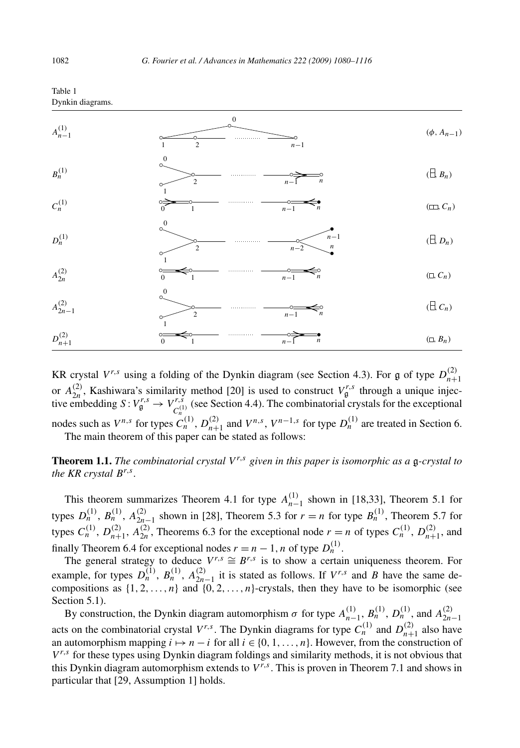

#### Table 1 Dynkin diagrams.

KR crystal  $V^{r,s}$  using a folding of the Dynkin diagram (see Section 4.3). For g of type  $D_{n+1}^{(2)}$ or  $A_{2n}^{(2)}$ , Kashiwara's similarity method [20] is used to construct  $V_{\mathfrak{g}}^{r,s}$  through a unique injective embedding  $S: V_{\mathfrak{g}}^{r,s} \to V_{C_n^{(1)}}^{r,s}$  (see Section 4.4). The combinatorial crystals for the exceptional nodes such as  $V^{n,s}$  for types  $C_n^{(1)}$ ,  $D_{n+1}^{(2)}$  and  $V^{n,s}$ ,  $V^{n-1,s}$  for type  $D_n^{(1)}$  are treated in Section 6. The main theorem of this paper can be stated as follows:

**Theorem 1.1.** *The combinatorial crystal V r,s given in this paper is isomorphic as a* g*-crystal to the KR crystal Br,s.*

This theorem summarizes Theorem 4.1 for type  $A_{n-1}^{(1)}$  shown in [18,33], Theorem 5.1 for types  $D_n^{(1)}$ ,  $B_n^{(1)}$ ,  $A_{2n-1}^{(2)}$  shown in [28], Theorem 5.3 for  $r = n$  for type  $B_n^{(1)}$ , Theorem 5.7 for types  $C_n^{(1)}$ ,  $D_{n+1}^{(2)}$ ,  $A_{2n}^{(2)}$ , Theorems 6.3 for the exceptional node  $r = n$  of types  $C_n^{(1)}$ ,  $D_{n+1}^{(2)}$ , and finally Theorem 6.4 for exceptional nodes  $r = n - 1$ , *n* of type  $D_n^{(1)}$ .

The general strategy to deduce  $V^{r,s} \cong B^{r,s}$  is to show a certain uniqueness theorem. For example, for types  $D_n^{(1)}$ ,  $B_n^{(1)}$ ,  $A_{2n-1}^{(2)}$  it is stated as follows. If  $V^{r,s}$  and *B* have the same decompositions as  $\{1, 2, \ldots, n\}$  and  $\{0, 2, \ldots, n\}$ -crystals, then they have to be isomorphic (see Section 5.1).

By construction, the Dynkin diagram automorphism  $\sigma$  for type  $A_{n-1}^{(1)}$ ,  $B_n^{(1)}$ ,  $D_n^{(1)}$ , and  $A_{2n-1}^{(2)}$ acts on the combinatorial crystal  $V^{r,s}$ . The Dynkin diagrams for type  $C_n^{(1)}$  and  $D_{n+1}^{(2)}$  also have an automorphism mapping  $i \mapsto n - i$  for all  $i \in \{0, 1, \ldots, n\}$ . However, from the construction of  $V^{r,s}$  for these types using Dynkin diagram foldings and similarity methods, it is not obvious that this Dynkin diagram automorphism extends to  $V^{r,s}$ . This is proven in Theorem 7.1 and shows in particular that [29, Assumption 1] holds.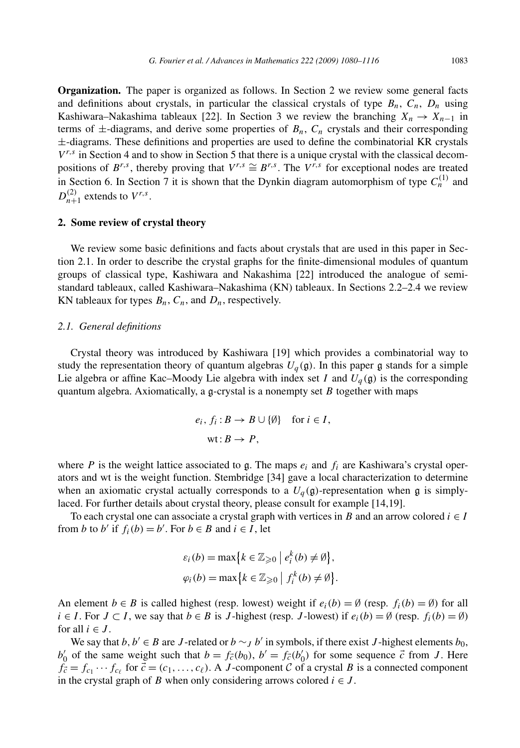**Organization.** The paper is organized as follows. In Section 2 we review some general facts and definitions about crystals, in particular the classical crystals of type  $B_n$ ,  $C_n$ ,  $D_n$  using Kashiwara–Nakashima tableaux [22]. In Section 3 we review the branching  $X_n \to X_{n-1}$  in terms of  $\pm$ -diagrams, and derive some properties of  $B_n$ ,  $C_n$  crystals and their corresponding ±-diagrams. These definitions and properties are used to define the combinatorial KR crystals  $V^{r,s}$  in Section 4 and to show in Section 5 that there is a unique crystal with the classical decompositions of  $B^{r,s}$ , thereby proving that  $V^{r,s} \cong B^{r,s}$ . The  $V^{r,s}$  for exceptional nodes are treated in Section 6. In Section 7 it is shown that the Dynkin diagram automorphism of type  $C<sub>n</sub><sup>(1)</sup>$  and  $D_{n+1}^{(2)}$  extends to  $V^{r,s}$ .

#### **2. Some review of crystal theory**

We review some basic definitions and facts about crystals that are used in this paper in Section 2.1. In order to describe the crystal graphs for the finite-dimensional modules of quantum groups of classical type, Kashiwara and Nakashima [22] introduced the analogue of semistandard tableaux, called Kashiwara–Nakashima (KN) tableaux. In Sections 2.2–2.4 we review KN tableaux for types  $B_n$ ,  $C_n$ , and  $D_n$ , respectively.

#### *2.1. General definitions*

Crystal theory was introduced by Kashiwara [19] which provides a combinatorial way to study the representation theory of quantum algebras  $U_q(\mathfrak{g})$ . In this paper  $\mathfrak{g}$  stands for a simple Lie algebra or affine Kac–Moody Lie algebra with index set *I* and  $U_q(\mathfrak{g})$  is the corresponding quantum algebra. Axiomatically, a  $\mathfrak{g}$ -crystal is a nonempty set *B* together with maps

$$
e_i, f_i: B \to B \cup \{\emptyset\} \text{ for } i \in I,
$$
  
wt:  $B \to P$ ,

where *P* is the weight lattice associated to g. The maps  $e_i$  and  $f_i$  are Kashiwara's crystal operators and wt is the weight function. Stembridge [34] gave a local characterization to determine when an axiomatic crystal actually corresponds to a  $U_q(\mathfrak{g})$ -representation when  $\mathfrak{g}$  is simplylaced. For further details about crystal theory, please consult for example [14,19].

To each crystal one can associate a crystal graph with vertices in *B* and an arrow colored  $i \in I$ from *b* to *b'* if  $f_i(b) = b'$ . For  $b \in B$  and  $i \in I$ , let

$$
\varepsilon_i(b) = \max\{k \in \mathbb{Z}_{\geqslant 0} \mid e_i^k(b) \neq \emptyset\},\
$$
  

$$
\varphi_i(b) = \max\{k \in \mathbb{Z}_{\geqslant 0} \mid f_i^k(b) \neq \emptyset\}.
$$

An element  $b \in B$  is called highest (resp. lowest) weight if  $e_i(b) = \emptyset$  (resp.  $f_i(b) = \emptyset$ ) for all *i* ∈ *I*. For *J* ⊂ *I*, we say that *b* ∈ *B* is *J*-highest (resp. *J*-lowest) if  $e_i(b) = \emptyset$  (resp.  $f_i(b) = \emptyset$ ) for all  $i \in J$ .

We say that *b*,  $b' \in B$  are *J*-related or  $b \sim_J b'$  in symbols, if there exist *J*-highest elements  $b_0$ ,  $b'_0$  of the same weight such that  $b = f_{\vec{c}}(b_0)$ ,  $b' = f_{\vec{c}}(b'_0)$  for some sequence  $\vec{c}$  from *J*. Here  $f_c = f_{c_1} \cdots f_{c_\ell}$  for  $\vec{c} = (c_1, \ldots, c_\ell)$ . A *J*-component C of a crystal *B* is a connected component in the crystal graph of *B* when only considering arrows colored  $i \in J$ .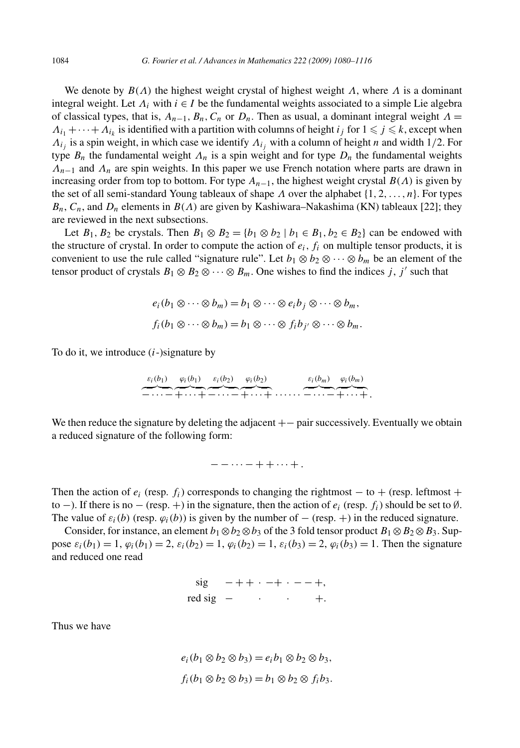We denote by  $B(\Lambda)$  the highest weight crystal of highest weight  $\Lambda$ , where  $\Lambda$  is a dominant integral weight. Let  $\Lambda_i$  with  $i \in I$  be the fundamental weights associated to a simple Lie algebra of classical types, that is,  $A_{n-1}$ ,  $B_n$ ,  $C_n$  or  $D_n$ . Then as usual, a dominant integral weight  $\Lambda =$  $\Lambda_{i_1} + \cdots + \Lambda_{i_k}$  is identified with a partition with columns of height  $i_j$  for  $1 \leq j \leq k$ , except when *Λij* is a spin weight, in which case we identify *Λij* with a column of height *n* and width 1*/*2. For type  $B_n$  the fundamental weight  $\Lambda_n$  is a spin weight and for type  $D_n$  the fundamental weights *Λn*<sup>−</sup><sup>1</sup> and *Λn* are spin weights. In this paper we use French notation where parts are drawn in increasing order from top to bottom. For type  $A_{n-1}$ , the highest weight crystal  $B(\Lambda)$  is given by the set of all semi-standard Young tableaux of shape *Λ* over the alphabet {1*,* 2*,...,n*}. For types  $B_n$ ,  $C_n$ , and  $D_n$  elements in  $B(\Lambda)$  are given by Kashiwara–Nakashima (KN) tableaux [22]; they are reviewed in the next subsections.

Let  $B_1$ ,  $B_2$  be crystals. Then  $B_1 \otimes B_2 = \{b_1 \otimes b_2 \mid b_1 \in B_1, b_2 \in B_2\}$  can be endowed with the structure of crystal. In order to compute the action of  $e_i$ ,  $f_i$  on multiple tensor products, it is convenient to use the rule called "signature rule". Let  $b_1 \otimes b_2 \otimes \cdots \otimes b_m$  be an element of the tensor product of crystals  $B_1 \otimes B_2 \otimes \cdots \otimes B_m$ . One wishes to find the indices *j*, *j'* such that

$$
e_i(b_1 \otimes \cdots \otimes b_m) = b_1 \otimes \cdots \otimes e_i b_j \otimes \cdots \otimes b_m,
$$
  

$$
f_i(b_1 \otimes \cdots \otimes b_m) = b_1 \otimes \cdots \otimes f_i b_{j'} \otimes \cdots \otimes b_m.
$$

To do it, we introduce (*i*-)signature by

*εi(b*1*)* −···− *ϕi(b*1*)* +···+ *εi(b*2*)* −···− *ϕi(b*2*)* +···+······ *εi(bm)* −···− *ϕi(bm)* +···+*.*

We then reduce the signature by deleting the adjacent  $+-$  pair successively. Eventually we obtain a reduced signature of the following form:

−−···−++···+ *.*

Then the action of  $e_i$  (resp.  $f_i$ ) corresponds to changing the rightmost – to + (resp. leftmost + to −). If there is no − (resp. +) in the signature, then the action of  $e_i$  (resp.  $f_i$ ) should be set to Ø. The value of  $\varepsilon_i(b)$  (resp.  $\varphi_i(b)$ ) is given by the number of  $-$  (resp. +) in the reduced signature.

Consider, for instance, an element  $b_1 \otimes b_2 \otimes b_3$  of the 3 fold tensor product  $B_1 \otimes B_2 \otimes B_3$ . Suppose  $\varepsilon_i(b_1) = 1$ ,  $\varphi_i(b_1) = 2$ ,  $\varepsilon_i(b_2) = 1$ ,  $\varphi_i(b_2) = 1$ ,  $\varepsilon_i(b_3) = 2$ ,  $\varphi_i(b_3) = 1$ . Then the signature and reduced one read

$$
\begin{aligned}\n\text{sig} & -++ \cdot -+ \cdot --+, \\
\text{red sig} & - & \cdot & +.\n\end{aligned}
$$

Thus we have

$$
e_i(b_1 \otimes b_2 \otimes b_3) = e_i b_1 \otimes b_2 \otimes b_3,
$$
  

$$
f_i(b_1 \otimes b_2 \otimes b_3) = b_1 \otimes b_2 \otimes f_i b_3.
$$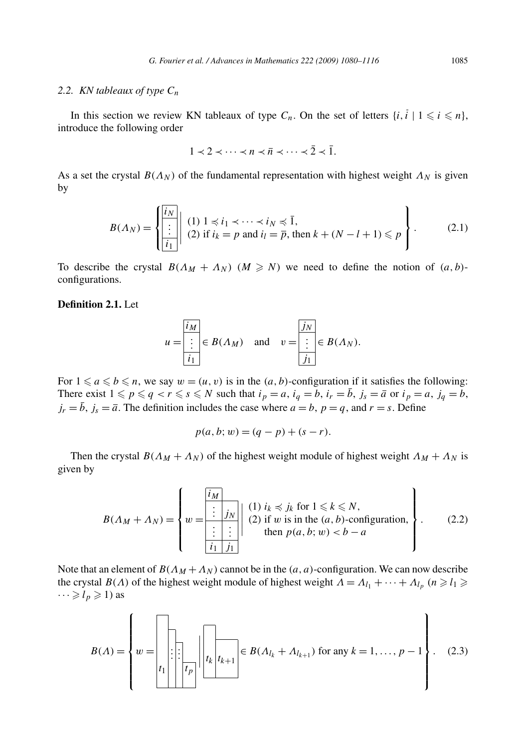#### *2.2. KN tableaux of type Cn*

In this section we review KN tableaux of type  $C_n$ . On the set of letters  $\{i, i \mid 1 \leq i \leq n\}$ , introduce the following order

$$
1 \prec 2 \prec \cdots \prec n \prec \overline{n} \prec \cdots \prec \overline{2} \prec \overline{1}.
$$

As a set the crystal  $B(\Lambda_N)$  of the fundamental representation with highest weight  $\Lambda_N$  is given by

$$
B(\Lambda_N) = \left\{ \begin{aligned} &\frac{\bar{i}_N}{\vdots} \mid (1) \ 1 \preccurlyeq i_1 \prec \cdots \prec i_N \preccurlyeq \bar{1}, \\ & (2) \text{ if } i_k = p \text{ and } i_l = \bar{p}, \text{ then } k + (N - l + 1) \leq p \end{aligned} \right\}.
$$

To describe the crystal  $B(\Lambda_M + \Lambda_N)$   $(M \geq N)$  we need to define the notion of  $(a, b)$ configurations.

#### **Definition 2.1.** Let

$$
u = \frac{\overline{i_M}}{\overline{i_1}} \in B(\Lambda_M) \quad \text{and} \quad v = \frac{\overline{j_N}}{\overline{j_1}} \in B(\Lambda_N).
$$

For  $1 \le a \le b \le n$ , we say  $w = (u, v)$  is in the  $(a, b)$ -configuration if it satisfies the following: There exist  $1 \leq p \leq q < r \leq s \leq N$  such that  $i_p = a$ ,  $i_q = b$ ,  $i_r = \overline{b}$ ,  $j_s = \overline{a}$  or  $i_p = a$ ,  $j_q = b$ ,  $j_r = \overline{b}$ ,  $j_s = \overline{a}$ . The definition includes the case where  $a = b$ ,  $p = q$ , and  $r = s$ . Define

$$
p(a, b; w) = (q - p) + (s - r).
$$

Then the crystal  $B(\Lambda_M + \Lambda_N)$  of the highest weight module of highest weight  $\Lambda_M + \Lambda_N$  is given by

$$
B(\Lambda_M + \Lambda_N) = \left\{ w = \begin{bmatrix} \frac{i_M}{\vdots} & \vdots & \vdots \\ w = \frac{\begin{vmatrix} \vdots & \vdots & \vdots \\ \vdots & \vdots & \vdots \\ \vdots & \vdots & \vdots \end{vmatrix}}{\begin{vmatrix} \vdots & \vdots & \vdots \\ \vdots & \vdots & \vdots \\ \vdots & \vdots & \vdots \end{vmatrix}} \right\}
$$
 (2.2) (2.2) then  $p(a, b; w) < b - a$ 

Note that an element of  $B(\Lambda_M + \Lambda_N)$  cannot be in the  $(a, a)$ -configuration. We can now describe the crystal *B*(*Λ*) of the highest weight module of highest weight  $\Lambda = \Lambda_{l_1} + \cdots + \Lambda_{l_p}$  ( $n \ge l_1 \ge l_2$ )  $\cdots \geqslant l_p \geqslant 1$ ) as

*B(Λ)* = ⎧ ⎪⎪⎪⎪⎪⎪⎨ ⎪⎪⎪⎪⎪⎪⎩ *w* = *. . . . . . t*<sup>1</sup> *tp tk tk*<sup>+</sup><sup>1</sup> ∈ *B(Λlk* + *Λlk*<sup>+</sup><sup>1</sup> *)* for any *k* = 1*,...,p* − 1 ⎫ ⎪⎪⎪⎪⎪⎪⎬ ⎪⎪⎪⎪⎪⎪⎭ *.* (2.3)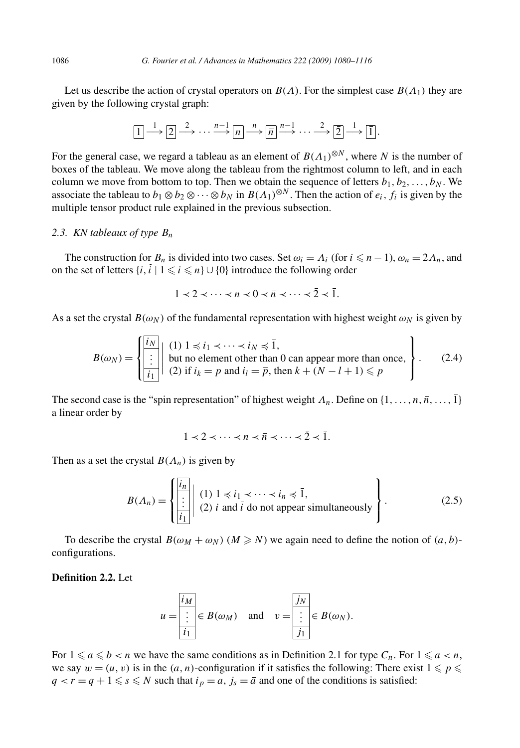Let us describe the action of crystal operators on  $B(\Lambda)$ . For the simplest case  $B(\Lambda_1)$  they are given by the following crystal graph:

$$
\boxed{1} \xrightarrow{1} \boxed{2} \xrightarrow{2} \cdots \xrightarrow{n-1} \boxed{n} \xrightarrow{n} \boxed{\overline{n}} \xrightarrow{n-1} \cdots \xrightarrow{2} \boxed{2} \xrightarrow{1} \boxed{1}.
$$

For the general case, we regard a tableau as an element of  $B(\Lambda_1)^{\otimes N}$ , where *N* is the number of boxes of the tableau. We move along the tableau from the rightmost column to left, and in each column we move from bottom to top. Then we obtain the sequence of letters  $b_1, b_2, \ldots, b_N$ . We associate the tableau to  $b_1 \otimes b_2 \otimes \cdots \otimes b_N$  in  $B(A_1)^{\otimes N}$ . Then the action of  $e_i$ ,  $f_i$  is given by the multiple tensor product rule explained in the previous subsection.

#### *2.3. KN tableaux of type Bn*

The construction for  $B_n$  is divided into two cases. Set  $\omega_i = \Lambda_i$  (for  $i \leq n-1$ ),  $\omega_n = 2\Lambda_n$ , and on the set of letters  $\{i, i \mid 1 \leq i \leq n\} \cup \{0\}$  introduce the following order

$$
1 \prec 2 \prec \cdots \prec n \prec 0 \prec \overline{n} \prec \cdots \prec \overline{2} \prec \overline{1}.
$$

As a set the crystal  $B(\omega_N)$  of the fundamental representation with highest weight  $\omega_N$  is given by

$$
B(\omega_N) = \begin{cases} \frac{i_N}{i} & \text{if } 1 \le i_1 < \dots < i_N \le 1, \\ \frac{i}{i_1} & \text{but no element other than 0 can appear more than once,} \\ (2) & \text{if } i_k = p \text{ and } i_l = \overline{p}, \text{ then } k + (N - l + 1) \le p \end{cases} \tag{2.4}
$$

The second case is the "spin representation" of highest weight  $\Lambda_n$ . Define on  $\{1, \ldots, n, \overline{n}, \ldots, \overline{1}\}$ a linear order by

$$
1 \prec 2 \prec \cdots \prec n \prec \overline{n} \prec \cdots \prec \overline{2} \prec \overline{1}.
$$

Then as a set the crystal  $B(\Lambda_n)$  is given by

$$
B(\Lambda_n) = \left\{ \begin{aligned} &\overline{i_n} \\ &\vdots \\ &\overline{i_1} \end{aligned} \right\vert \begin{array}{l}\n(1) \ 1 \leq i_1 < \dots < i_n \leq \overline{1}, \\ \n(2) \ i \ \text{and} \ i \ \text{do not appear simultaneously} \end{array} \right\}.
$$
\n
$$
(2.5)
$$

To describe the crystal  $B(\omega_M + \omega_N)$   $(M \ge N)$  we again need to define the notion of  $(a, b)$ configurations.

#### **Definition 2.2.** Let

$$
u = \frac{\overline{\mathbf{i}_M}}{\mathbf{i}_1} \in B(\omega_M) \quad \text{and} \quad v = \frac{\overline{\mathbf{j}_N}}{\mathbf{i}_1} \in B(\omega_N).
$$

For  $1 \leq a \leq b < n$  we have the same conditions as in Definition 2.1 for type  $C_n$ . For  $1 \leq a < n$ , we say  $w = (u, v)$  is in the  $(a, n)$ -configuration if it satisfies the following: There exist  $1 \leq p \leq$  $q < r = q + 1 \leq s \leq N$  such that  $i_p = a$ ,  $j_s = \overline{a}$  and one of the conditions is satisfied: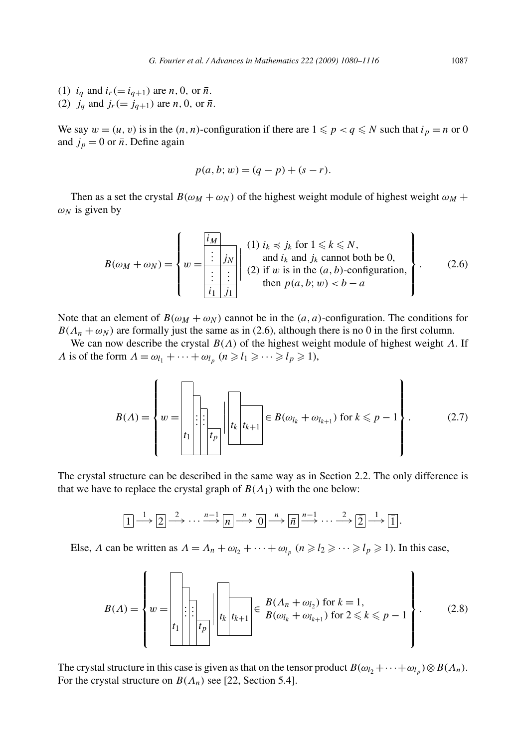(1)  $i_q$  and  $i_r (= i_{q+1})$  are *n*, 0, or  $\bar{n}$ . (2)  $j_q$  and  $j_r (= j_{q+1})$  are *n*, 0, or  $\bar{n}$ .

We say  $w = (u, v)$  is in the  $(n, n)$ -configuration if there are  $1 \leq p < q \leq N$  such that  $i_p = n$  or 0 and  $j_p = 0$  or  $\bar{n}$ . Define again

$$
p(a, b; w) = (q - p) + (s - r).
$$

Then as a set the crystal  $B(\omega_M + \omega_N)$  of the highest weight module of highest weight  $\omega_M$  +  $\omega_N$  is given by

$$
B(\omega_M + \omega_N) = \left\{ w = \begin{bmatrix} i_M & (1) \ i_k \preccurlyeq j_k \text{ for } 1 \leq k \leq N, \\ \vdots & j_N \\ \vdots & \vdots \\ \vdots & \vdots \\ \frac{i_1 \ j_1}{\end{bmatrix} \right\} \begin{array}{c} (1) \ i_k \preccurlyeq j_k \text{ for } 1 \leq k \leq N, \\ \text{and } i_k \text{ and } j_k \text{ cannot both be 0,} \\ (2) \text{ if } w \text{ is in the } (a, b) \text{-configuration,} \\ \text{then } p(a, b; w) < b - a \end{array} \right\}.
$$
 (2.6)

Note that an element of  $B(\omega_M + \omega_N)$  cannot be in the  $(a, a)$ -configuration. The conditions for  $B(\Lambda_n + \omega_N)$  are formally just the same as in (2.6), although there is no 0 in the first column.

We can now describe the crystal *B(Λ)* of the highest weight module of highest weight *Λ*. If *Λ* is of the form  $\Lambda = \omega_{l_1} + \cdots + \omega_{l_p}$   $(n \ge l_1 \ge \cdots \ge l_p \ge 1)$ ,

*B(Λ)* = ⎧ ⎪⎪⎪⎪⎪⎪⎨ ⎪⎪⎪⎪⎪⎪⎩ *w* = *. . . . . . t*<sup>1</sup> *tp tk tk*<sup>+</sup><sup>1</sup> ∈ *B(ωlk* + *ωlk*<sup>+</sup><sup>1</sup> *)* for *k p* − 1 ⎫ ⎪⎪⎪⎪⎪⎪⎬ ⎪⎪⎪⎪⎪⎪⎭ *.* (2.7)

The crystal structure can be described in the same way as in Section 2.2. The only difference is that we have to replace the crystal graph of  $B(\Lambda_1)$  with the one below:

$$
\boxed{1} \xrightarrow{1} \boxed{2} \xrightarrow{2} \cdots \xrightarrow{n-1} \boxed{n} \xrightarrow{n} \boxed{0} \xrightarrow{n} \boxed{\overline{n}} \xrightarrow{n-1} \cdots \xrightarrow{2} \boxed{2} \xrightarrow{1} \boxed{1}.
$$

Else, *Λ* can be written as  $\Lambda = \Lambda_n + \omega_{l_2} + \cdots + \omega_{l_p}$  ( $n \ge l_2 \ge \cdots \ge l_p \ge 1$ ). In this case,

*B(Λ)* = ⎧ ⎪⎪⎪⎪⎪⎪⎨ ⎪⎪⎪⎪⎪⎪⎩ *w* = *. . . . . . t*<sup>1</sup> *tp tk tk*<sup>+</sup><sup>1</sup> <sup>∈</sup> *B(Λn* <sup>+</sup> *ωl*<sup>2</sup> *)* for *<sup>k</sup>* <sup>=</sup> <sup>1</sup>*, B(ωlk* + *ωlk*<sup>+</sup><sup>1</sup> *)* for 2 *k p* − 1 ⎫ ⎪⎪⎪⎪⎪⎪⎬ ⎪⎪⎪⎪⎪⎪⎭ *.* (2.8)

The crystal structure in this case is given as that on the tensor product  $B(\omega_1 + \cdots + \omega_l) \otimes B(\Lambda_n)$ . For the crystal structure on  $B(\Lambda_n)$  see [22, Section 5.4].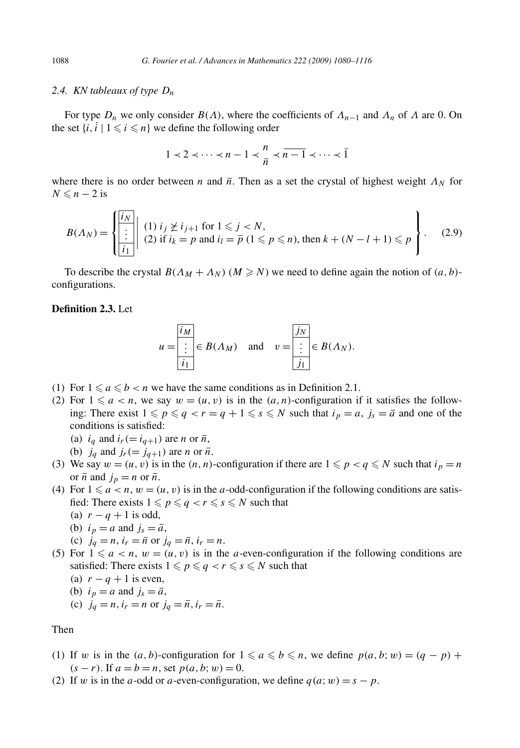#### *2.4. KN tableaux of type Dn*

For type  $D_n$  we only consider  $B(\Lambda)$ , where the coefficients of  $\Lambda_{n-1}$  and  $\Lambda_n$  of  $\Lambda$  are 0. On the set  $\{i, i \mid 1 \leq i \leq n\}$  we define the following order

$$
1 \prec 2 \prec \cdots \prec n-1 \prec \frac{n}{n} \prec \overline{n-1} \prec \cdots \prec \overline{1}
$$

where there is no order between *n* and  $\bar{n}$ . Then as a set the crystal of highest weight  $\Lambda_N$  for  $N \leq n-2$  is

$$
B(\Lambda_N) = \left\{ \begin{aligned} &\frac{\bar{i}_N}{\vdots} \quad (1) \ i_j \not\geq i_{j+1} \text{ for } 1 \leq j < N, \\ &\vdots \quad (2) \text{ if } i_k = p \text{ and } i_l = \overline{p} \ (1 \leq p \leq n), \text{ then } k + (N - l + 1) \leq p \end{aligned} \right\}.
$$

To describe the crystal  $B(\Lambda_M + \Lambda_N)$  ( $M \ge N$ ) we need to define again the notion of  $(a, b)$ configurations.

#### **Definition 2.3.** Let

$$
u = \frac{\overline{i_M}}{\overline{i_1}} \in B(\Lambda_M) \quad \text{and} \quad v = \frac{\overline{j_N}}{\overline{j_1}} \in B(\Lambda_N).
$$

- (1) For  $1 \le a \le b < n$  we have the same conditions as in Definition 2.1.
- (2) For  $1 \le a < n$ , we say  $w = (u, v)$  is in the  $(a, n)$ -configuration if it satisfies the following: There exist  $1 \leq p \leq q < r = q + 1 \leq s \leq N$  such that  $i_p = a$ ,  $j_s = \overline{a}$  and one of the conditions is satisfied:
	- (a)  $i_q$  and  $i_r (= i_{q+1})$  are *n* or  $\overline{n}$ ,
	- (b)  $j_q$  and  $j_r (= j_{q+1})$  are *n* or  $\overline{n}$ .
- (3) We say  $w = (u, v)$  is in the  $(n, n)$ -configuration if there are  $1 \leq p < q \leq N$  such that  $i_p = n$ or  $\bar{n}$  and  $j_p = n$  or  $\bar{n}$ .
- (4) For  $1 \le a < n$ ,  $w = (u, v)$  is in the *a*-odd-configuration if the following conditions are satisfied: There exists  $1 \leqslant p \leqslant q < r \leqslant s \leqslant N$  such that
	- (a)  $r q + 1$  is odd,
	- (b)  $i_p = a$  and  $j_s = \overline{a}$ ,
	- (c)  $j_q = n$ ,  $i_r = \bar{n}$  or  $j_q = \bar{n}$ ,  $i_r = n$ .
- (5) For  $1 \le a < n$ ,  $w = (u, v)$  is in the *a*-even-configuration if the following conditions are satisfied: There exists  $1 \leqslant p \leqslant q < r \leqslant s \leqslant N$  such that
	- (a)  $r q + 1$  is even,
	- (b)  $i_p = a$  and  $j_s = \overline{a}$ ,
	- (c)  $j_q = n, i_r = n$  or  $j_q = \overline{n}, i_r = \overline{n}$ .

#### Then

- (1) If *w* is in the  $(a, b)$ -configuration for  $1 \le a \le b \le n$ , we define  $p(a, b; w) = (q p) +$  $(s − r)$ . If  $a = b = n$ , set  $p(a, b; w) = 0$ .
- (2) If *w* is in the *a*-odd or *a*-even-configuration, we define  $q(a; w) = s p$ .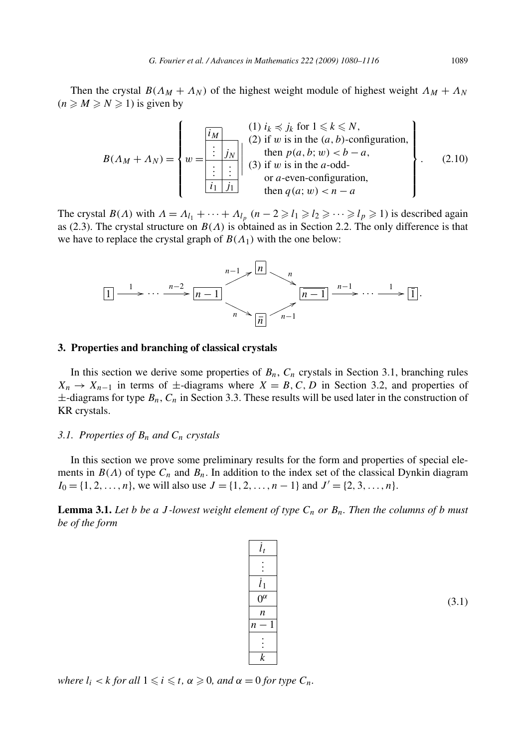Then the crystal  $B(\Lambda_M + \Lambda_N)$  of the highest weight module of highest weight  $\Lambda_M + \Lambda_N$  $(n \geqslant M \geqslant N \geqslant 1)$  is given by

$$
B(\Lambda_M + \Lambda_N) = \left\{ w = \begin{bmatrix} \frac{i_M}{\vdots} & (1) i_k \preccurlyeq j_k \text{ for } 1 \le k \le N, \\ (2) \text{ if } w \text{ is in the } (a, b)\text{-configuration,} \\ \frac{\vdots}{\vdots} & (3) \text{ if } w \text{ is in the } a\text{-odd-} \\ \frac{\vdots}{\vdots} & (3) \text{ if } w \text{ is in the } a\text{-odd-} \\ \text{or } a\text{-even-configuration,} \\ \text{then } q(a; w) < n - a \end{bmatrix} \right\}. \tag{2.10}
$$

The crystal *B*(*Λ*) with  $\Lambda = \Lambda_{l_1} + \cdots + \Lambda_{l_p}$  ( $n-2 \ge l_1 \ge l_2 \ge \cdots \ge l_p \ge 1$ ) is described again as (2.3). The crystal structure on *B(Λ)* is obtained as in Section 2.2. The only difference is that we have to replace the crystal graph of  $B(\Lambda_1)$  with the one below:



#### **3. Properties and branching of classical crystals**

In this section we derive some properties of  $B_n$ ,  $C_n$  crystals in Section 3.1, branching rules  $X_n \to X_{n-1}$  in terms of  $\pm$ -diagrams where  $X = B, C, D$  in Section 3.2, and properties of  $\pm$ -diagrams for type  $B_n$ ,  $C_n$  in Section 3.3. These results will be used later in the construction of KR crystals.

#### *3.1. Properties of Bn and Cn crystals*

In this section we prove some preliminary results for the form and properties of special elements in  $B(\Lambda)$  of type  $C_n$  and  $B_n$ . In addition to the index set of the classical Dynkin diagram  $I_0 = \{1, 2, \ldots, n\}$ , we will also use  $J = \{1, 2, \ldots, n-1\}$  and  $J' = \{2, 3, \ldots, n\}$ .

**Lemma 3.1.** Let *b* be a *J* -lowest weight element of type  $C_n$  or  $B_n$ . Then the columns of *b* must *be of the form*

| $l_t$            |  |
|------------------|--|
|                  |  |
| $\overline{l}_1$ |  |
| $\alpha$         |  |
| n                |  |
| $\overline{n}$   |  |
|                  |  |
| $\overline{k}$   |  |

(3.1)

 $$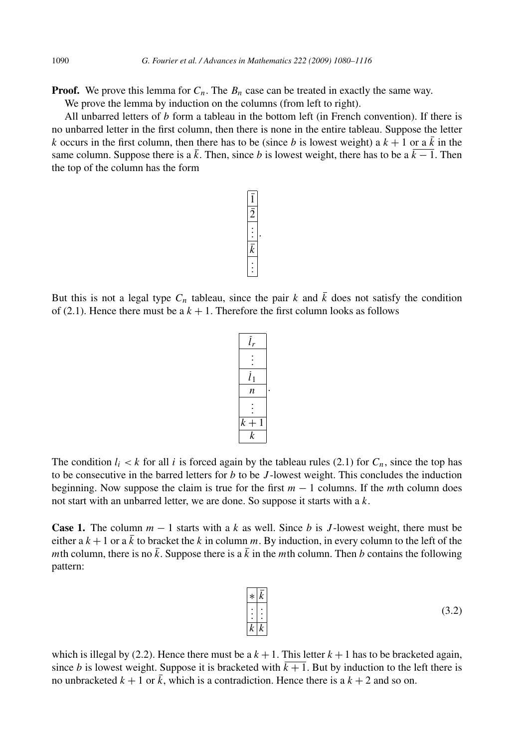**Proof.** We prove this lemma for  $C_n$ . The  $B_n$  case can be treated in exactly the same way.

We prove the lemma by induction on the columns (from left to right).

All unbarred letters of *b* form a tableau in the bottom left (in French convention). If there is no unbarred letter in the first column, then there is none in the entire tableau. Suppose the letter *k* occurs in the first column, then there has to be (since *b* is lowest weight) a  $k + 1$  or a  $\overline{k}$  in the same column. Suppose there is a  $\bar{k}$ . Then, since *b* is lowest weight, there has to be a  $\bar{k} - 1$ . Then the top of the column has the form

But this is not a legal type  $C_n$  tableau, since the pair k and  $\overline{k}$  does not satisfy the condition of (2.1). Hence there must be a  $k + 1$ . Therefore the first column looks as follows

*k* The condition  $l_i < k$  for all *i* is forced again by the tableau rules (2.1) for  $C_n$ , since the top has to be consecutive in the barred letters for *b* to be *J* -lowest weight. This concludes the induction beginning. Now suppose the claim is true for the first  $m - 1$  columns. If the *m*th column does not start with an unbarred letter, we are done. So suppose it starts with a *k*.

**Case 1.** The column  $m - 1$  starts with a k as well. Since b is *J*-lowest weight, there must be either a  $k + 1$  or a  $\overline{k}$  to bracket the  $k$  in column  $m$ . By induction, in every column to the left of the *m*th column, there is no  $\bar{k}$ . Suppose there is a  $\bar{k}$  in the *m*th column. Then *b* contains the following pattern:

> ∗ *k . . . . . . k k*

which is illegal by (2.2). Hence there must be a  $k + 1$ . This letter  $k + 1$  has to be bracketed again, since *b* is lowest weight. Suppose it is bracketed with  $k + 1$ . But by induction to the left there is no unbracketed  $k + 1$  or  $k$ , which is a contradiction. Hence there is a  $k + 2$  and so on.

$$
\begin{array}{c}\n\overline{i_r} \\
\vdots \\
\overline{i_1} \\
n \\
\hline\n\end{array}
$$
\n
$$
\begin{array}{c}\n\overline{i_1} \\
\overline{i_2} \\
\hline\n\end{array}
$$



$$
(3.2)
$$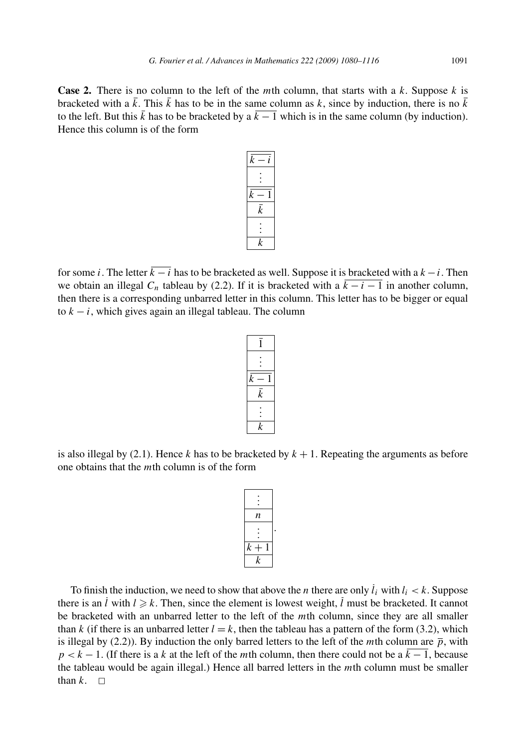**Case 2.** There is no column to the left of the *m*th column, that starts with a *k*. Suppose *k* is bracketed with a  $\bar{k}$ . This  $\bar{k}$  has to be in the same column as  $k$ , since by induction, there is no  $\bar{k}$ to the left. But this  $\bar{k}$  has to be bracketed by a  $\bar{k} - 1$  which is in the same column (by induction). Hence this column is of the form

| $\overline{k}$<br>i |  |
|---------------------|--|
|                     |  |
| k                   |  |
| $\bar{k}$           |  |
|                     |  |
| k                   |  |

for some *i*. The letter  $\overline{k - i}$  has to be bracketed as well. Suppose it is bracketed with a  $k - i$ . Then we obtain an illegal  $C_n$  tableau by (2.2). If it is bracketed with a  $\overline{k-i-1}$  in another column, then there is a corresponding unbarred letter in this column. This letter has to be bigger or equal to  $k - i$ , which gives again an illegal tableau. The column

| $\overline{k}$ |  |
|----------------|--|
| $\overline{k}$ |  |
|                |  |
| $\overline{k}$ |  |

is also illegal by (2.1). Hence  $k$  has to be bracketed by  $k + 1$ . Repeating the arguments as before one obtains that the *m*th column is of the form

| n                |  |
|------------------|--|
|                  |  |
| $\boldsymbol{k}$ |  |
| $\boldsymbol{k}$ |  |

To finish the induction, we need to show that above the *n* there are only  $l_i$  with  $l_i < k$ . Suppose there is an *l* with  $l \geq k$ . Then, since the element is lowest weight, *l* must be bracketed. It cannot be bracketed with an unbarred letter to the left of the *m*th column, since they are all smaller than *k* (if there is an unbarred letter  $l = k$ , then the tableau has a pattern of the form (3.2), which is illegal by (2.2)). By induction the only barred letters to the left of the *m*th column are  $\bar{p}$ , with  $p < k - 1$ . (If there is a *k* at the left of the *m*th column, then there could not be a  $k - 1$ , because the tableau would be again illegal.) Hence all barred letters in the *m*th column must be smaller than  $k$ .  $\Box$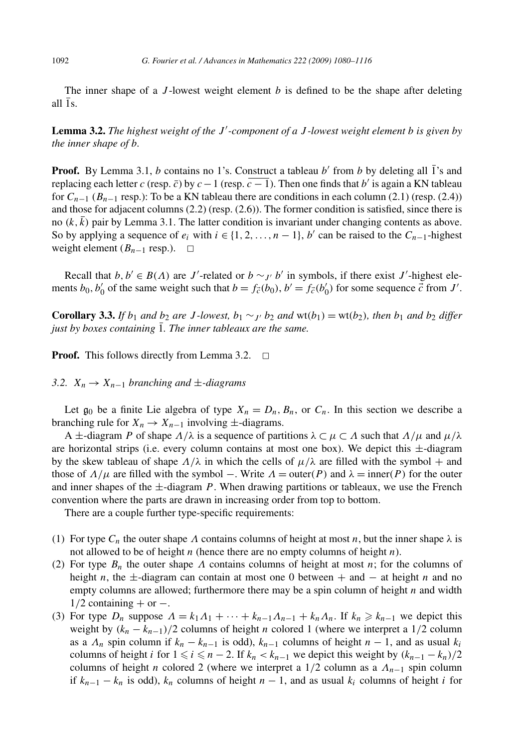The inner shape of a *J* -lowest weight element *b* is defined to be the shape after deleting all  $\overline{1}$ s.

**Lemma 3.2.** *The highest weight of the J -component of a J -lowest weight element b is given by the inner shape of b.*

**Proof.** By Lemma 3.1, *b* contains no 1's. Construct a tableau *b'* from *b* by deleting all  $\overline{1}$ 's and replacing each letter *c* (resp. *c*) by  $c-1$  (resp.  $\overline{c-1}$ ). Then one finds that *b'* is again a KN tableau for  $C_{n-1}$  ( $B_{n-1}$  resp.): To be a KN tableau there are conditions in each column (2.1) (resp. (2.4)) and those for adjacent columns (2.2) (resp. (2.6)). The former condition is satisfied, since there is no  $(k, \bar{k})$  pair by Lemma 3.1. The latter condition is invariant under changing contents as above. So by applying a sequence of  $e_i$  with  $i \in \{1, 2, ..., n-1\}$ , *b'* can be raised to the  $C_{n-1}$ -highest weight element  $(B_{n-1}$  resp.).  $□$ 

Recall that  $b, b' \in B(\Lambda)$  are *J*'-related or  $b \sim_{J'} b'$  in symbols, if there exist *J*'-highest elements  $b_0$ ,  $b'_0$  of the same weight such that  $b = f_{\vec{c}}(b_0)$ ,  $b' = f_{\vec{c}}(b'_0)$  for some sequence  $\vec{c}$  from  $J'$ .

**Corollary 3.3.** If  $b_1$  and  $b_2$  are J-lowest,  $b_1 \sim_{J'} b_2$  and  $wt(b_1) = wt(b_2)$ , then  $b_1$  and  $b_2$  differ *just by boxes containing* 1*. The inner tableaux are the same.*

**Proof.** This follows directly from Lemma 3.2.  $\Box$ 

*3.2.*  $X_n$  →  $X_{n-1}$  *branching and*  $±$ *-diagrams* 

Let  $g_0$  be a finite Lie algebra of type  $X_n = D_n$ ,  $B_n$ , or  $C_n$ . In this section we describe a branching rule for  $X_n \to X_{n-1}$  involving  $\pm$ -diagrams.

A ±-diagram *P* of shape *Λ/λ* is a sequence of partitions *λ* ⊂ *μ* ⊂ *Λ* such that *Λ/μ* and *μ/λ* are horizontal strips (i.e. every column contains at most one box). We depict this ±-diagram by the skew tableau of shape  $\Lambda/\lambda$  in which the cells of  $\mu/\lambda$  are filled with the symbol + and those of  $\Lambda/\mu$  are filled with the symbol –. Write  $\Lambda = \text{outer}(P)$  and  $\lambda = \text{inner}(P)$  for the outer and inner shapes of the  $\pm$ -diagram *P*. When drawing partitions or tableaux, we use the French convention where the parts are drawn in increasing order from top to bottom.

There are a couple further type-specific requirements:

- (1) For type  $C_n$  the outer shape  $\Lambda$  contains columns of height at most *n*, but the inner shape  $\lambda$  is not allowed to be of height *n* (hence there are no empty columns of height *n*).
- (2) For type  $B_n$  the outer shape  $\Lambda$  contains columns of height at most *n*; for the columns of height *n*, the ±-diagram can contain at most one 0 between + and − at height *n* and no empty columns are allowed; furthermore there may be a spin column of height *n* and width  $1/2$  containing + or  $-$ .
- (3) For type  $D_n$  suppose  $\Lambda = k_1 \Lambda_1 + \cdots + k_{n-1} \Lambda_{n-1} + k_n \Lambda_n$ . If  $k_n \geq k_{n-1}$  we depict this weight by *(kn* − *kn*<sup>−</sup>1*)/*2 columns of height *n* colored 1 (where we interpret a 1*/*2 column as a  $\Lambda_n$  spin column if  $k_n - k_{n-1}$  is odd),  $k_{n-1}$  columns of height  $n-1$ , and as usual  $k_i$ columns of height *i* for  $1 \le i \le n - 2$ . If  $k_n < k_{n-1}$  we depict this weight by  $(k_{n-1} - k_n)/2$ columns of height *n* colored 2 (where we interpret a  $1/2$  column as a  $\Lambda_{n-1}$  spin column if  $k_{n-1} - k_n$  is odd),  $k_n$  columns of height  $n-1$ , and as usual  $k_i$  columns of height *i* for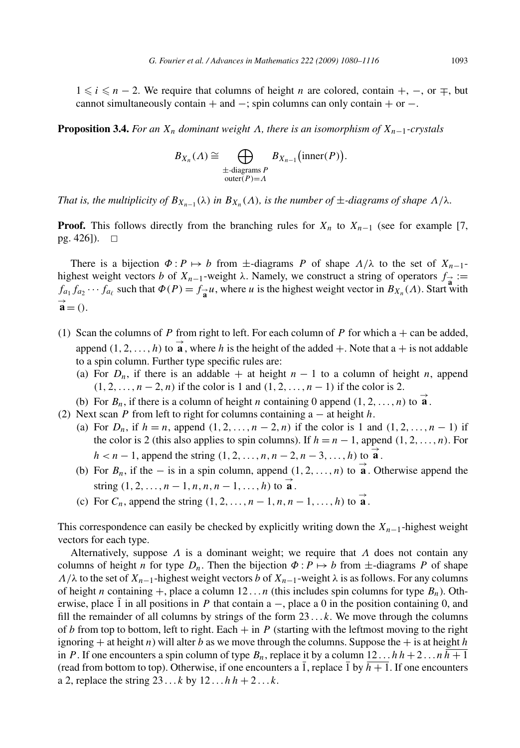1  $\le i \le n - 2$ . We require that columns of height *n* are colored, contain +, −, or  $\mp$ , but cannot simultaneously contain + and  $-$ ; spin columns can only contain + or  $-$ .

**Proposition 3.4.** *For an Xn dominant weight Λ, there is an isomorphism of Xn*<sup>−</sup>1*-crystals*

$$
B_{X_n}(\Lambda) \cong \bigoplus_{\substack{\pm \text{-diagrams } P \\ \text{outer}(P)=\Lambda}} B_{X_{n-1}}(\text{inner}(P)).
$$

*That is, the multiplicity of*  $B_{X_{n-1}}(\lambda)$  *in*  $B_{X_n}(\Lambda)$ *, is the number of*  $\pm$ *-diagrams of shape*  $\Lambda/\lambda$ *.* 

**Proof.** This follows directly from the branching rules for  $X_n$  to  $X_{n-1}$  (see for example [7, pg. 426]).  $\square$ 

There is a bijection  $\Phi: P \mapsto b$  from  $\pm$ -diagrams *P* of shape  $\Lambda/\lambda$  to the set of  $X_{n-1}$ highest weight vectors *b* of  $X_{n-1}$ -weight  $\lambda$ . Namely, we construct a string of operators  $f_{\alpha} :=$  $f_{a_1} f_{a_2} \cdots f_{a_\ell}$  such that  $\Phi(P) = f_{\vec{a}} u$ , where *u* is the highest weight vector in  $B_{X_n}(A)$ . Start with  $\overrightarrow{\mathbf{a}} = 0.$ 

- (1) Scan the columns of *P* from right to left. For each column of *P* for which  $a + can$  be added, append  $(1, 2, ..., h)$  to  $\overrightarrow{a}$ , where *h* is the height of the added +. Note that  $a +$  is not addable to a spin column. Further type specific rules are:
	- (a) For  $D_n$ , if there is an addable + at height  $n-1$  to a column of height *n*, append *(*1*,* 2*,...,n* − 2*,n)* if the color is 1 and *(*1*,* 2*,...,n* − 1*)* if the color is 2.

(b) For  $B_n$ , if there is a column of height *n* containing 0 append  $(1, 2, ..., n)$  to  $\overrightarrow{a}$ .

- (2) Next scan *P* from left to right for columns containing a − at height *h*.
	- (a) For  $D_n$ , if  $h = n$ , append  $(1, 2, ..., n 2, n)$  if the color is 1 and  $(1, 2, ..., n 1)$  if the color is 2 (this also applies to spin columns). If  $h = n - 1$ , append  $(1, 2, ..., n)$ . For  $h < n-1$ , append the string  $(1, 2, \ldots, n, n-2, n-3, \ldots, h)$  to  $\overrightarrow{a}$ .
	- (b) For  $B_n$ , if the is in a spin column, append  $(1, 2, \ldots, n)$  to  $\overrightarrow{a}$ . Otherwise append the string  $(1, 2, ..., n-1, n, n, n-1, ..., h)$  to  $\overrightarrow{a}$ .
	- (c) For  $C_n$ , append the string  $(1, 2, \ldots, n-1, n, n-1, \ldots, h)$  to  $\overrightarrow{a}$ .

This correspondence can easily be checked by explicitly writing down the *Xn*−1-highest weight vectors for each type.

Alternatively, suppose *Λ* is a dominant weight; we require that *Λ* does not contain any columns of height *n* for type  $D_n$ . Then the bijection  $\Phi: P \mapsto b$  from  $\pm$ -diagrams *P* of shape *Λ/λ* to the set of  $X_{n-1}$ -highest weight vectors *b* of  $X_{n-1}$ -weight  $\lambda$  is as follows. For any columns of height *n* containing  $+$ , place a column 12... *n* (this includes spin columns for type  $B_n$ ). Otherwise, place  $\overline{1}$  in all positions in *P* that contain a –, place a 0 in the position containing 0, and fill the remainder of all columns by strings of the form 23 *...k*. We move through the columns of *b* from top to bottom, left to right. Each  $+$  in *P* (starting with the leftmost moving to the right ignoring  $+$  at height *n*) will alter *b* as we move through the columns. Suppose the  $+$  is at height *h* in *P*. If one encounters a spin column of type  $B_n$ , replace it by a column  $12 \dots hh + 2 \dots nh + 1$ (read from bottom to top). Otherwise, if one encounters a 1, replace 1 by  $h + 1$ . If one encounters a 2, replace the string  $23 \dots k$  by  $12 \dots h h + 2 \dots k$ .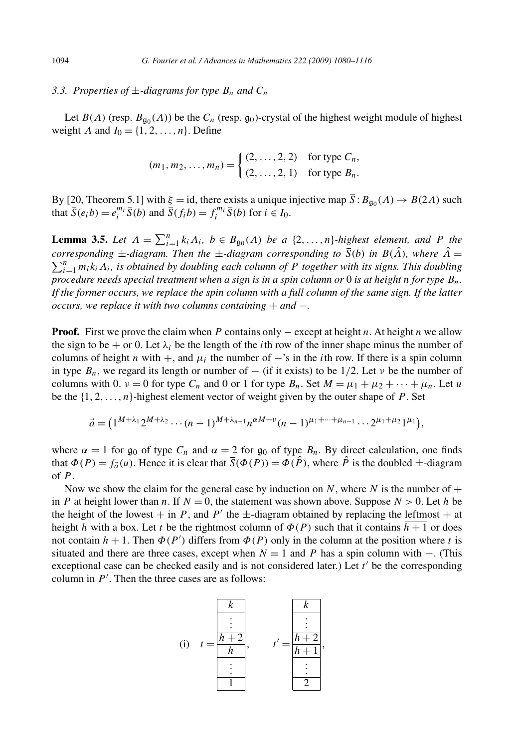#### *3.3. Properties of*  $\pm$ *-diagrams for type*  $B_n$  *and*  $C_n$

Let  $B(\Lambda)$  (resp.  $B_{\mathfrak{q}_0}(\Lambda)$ ) be the  $C_n$  (resp.  $\mathfrak{g}_0$ )-crystal of the highest weight module of highest weight *Λ* and  $I_0 = \{1, 2, ..., n\}$ . Define

$$
(m_1, m_2,..., m_n) = \begin{cases} (2,...,2,2) & \text{for type } C_n, \\ (2,...,2,1) & \text{for type } B_n. \end{cases}
$$

By [20, Theorem 5.1] with  $\xi = id$ , there exists a unique injective map  $\overline{S}$ :  $B_{\mathfrak{g}_0}(A) \to B(2A)$  such that  $\overline{S}(e_i b) = e_i^{m_i} \overline{S}(b)$  and  $\overline{S}(f_i b) = f_i^{m_i} \overline{S}(b)$  for  $i \in I_0$ .

**Lemma 3.5.** *Let*  $\Lambda = \sum_{i=1}^{n} k_i \Lambda_i$ ,  $b \in B_{\mathfrak{g}_0}(\Lambda)$  *be a* {2,...,n}*-highest element, and P the corresponding*  $\pm$ *-diagram. Then the*  $\pm$ *-diagram corresponding to*  $\overline{S}(b)$  *in*  $B(\hat{\Lambda})$ *, where*  $\hat{\Lambda} = \sum_{i=1}^{n} a_i b_i A_i$ , is obtained by doubling each column of  $P$  together with its signs. This doubling  $\sum_{i=1}^{n} m_i k_i \Lambda_i$ , is obtained by doubling each column of P together with its signs. This doubling *procedure needs special treatment when a sign is in a spin column or* 0 *is at height n for type Bn. If the former occurs, we replace the spin column with a full column of the same sign. If the latter occurs, we replace it with two columns containing* + *and* −*.*

**Proof.** First we prove the claim when *P* contains only − except at height *n*. At height *n* we allow the sign to be + or 0. Let  $\lambda_i$  be the length of the *i*th row of the inner shape minus the number of columns of height *n* with  $+$ , and  $\mu_i$  the number of  $-$ 's in the *i*th row. If there is a spin column in type  $B_n$ , we regard its length or number of – (if it exists) to be 1/2. Let *v* be the number of columns with 0.  $\nu = 0$  for type  $C_n$  and 0 or 1 for type  $B_n$ . Set  $M = \mu_1 + \mu_2 + \cdots + \mu_n$ . Let *u* be the {1*,* 2*,...,n*}-highest element vector of weight given by the outer shape of *P* . Set

$$
\vec{a} = (1^{M+\lambda_1}2^{M+\lambda_2}\cdots(n-1)^{M+\lambda_{n-1}}n^{\alpha M+\nu}(n-1)^{\mu_1+\cdots+\mu_{n-1}}\cdots2^{\mu_1+\mu_2}1^{\mu_1}),
$$

where  $\alpha = 1$  for  $\mathfrak{g}_0$  of type  $C_n$  and  $\alpha = 2$  for  $\mathfrak{g}_0$  of type  $B_n$ . By direct calculation, one finds that  $\Phi(P) = f_{\vec{a}}(u)$ . Hence it is clear that  $\overline{S}(\Phi(P)) = \Phi(\hat{P})$ , where  $\hat{P}$  is the doubled  $\pm$ -diagram of *P* .

Now we show the claim for the general case by induction on  $N$ , where  $N$  is the number of  $+$ in *P* at height lower than *n*. If  $N = 0$ , the statement was shown above. Suppose  $N > 0$ . Let *h* be the height of the lowest  $+$  in *P*, and *P'* the  $\pm$ -diagram obtained by replacing the leftmost  $+$  at height *h* with a box. Let *t* be the rightmost column of  $\Phi(P)$  such that it contains  $h + 1$  or does not contain  $h + 1$ . Then  $\Phi(P')$  differs from  $\Phi(P)$  only in the column at the position where *t* is situated and there are three cases, except when  $N = 1$  and *P* has a spin column with –. (This exceptional case can be checked easily and is not considered later.) Let  $t'$  be the corresponding column in  $P'$ . Then the three cases are as follows:

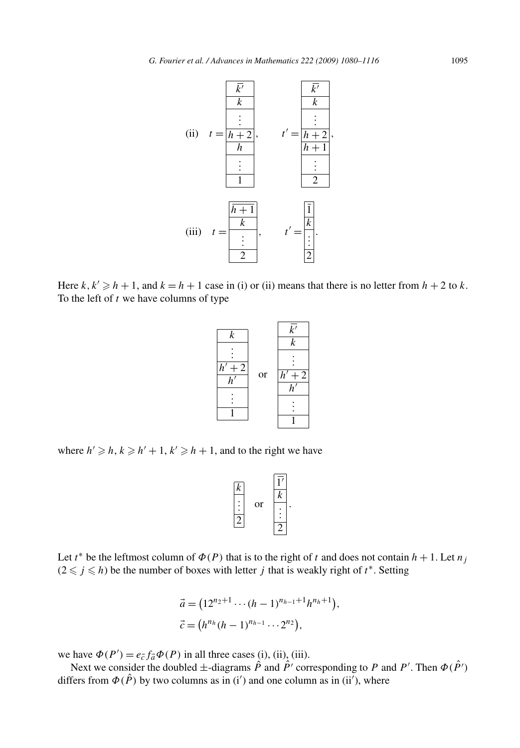

Here  $k, k' \geq h + 1$ , and  $k = h + 1$  case in (i) or (ii) means that there is no letter from  $h + 2$  to  $k$ . To the left of *t* we have columns of type



where  $h' \geq h, k \geq h' + 1, k' \geq h + 1$ , and to the right we have

$$
\begin{array}{c|c}\n\hline\nk \\
\hline\n\vdots \\
\hline\n2\n\end{array}\n\quad \text{or} \quad\n\begin{array}{c|c}\n\hline\n\text{I'} \\
\hline\nk \\
\hline\n\vdots \\
\hline\n2\n\end{array}
$$

*.*

Let *t*<sup>\*</sup> be the leftmost column of  $\Phi(P)$  that is to the right of *t* and does not contain  $h + 1$ . Let  $n_j$  $(2 \leq j \leq h)$  be the number of boxes with letter *j* that is weakly right of *t*<sup>\*</sup>. Setting

$$
\vec{a} = (12^{n_2+1} \cdots (h-1)^{n_{h-1}+1} h^{n_h+1}),
$$
  

$$
\vec{c} = (h^{n_h} (h-1)^{n_{h-1}} \cdots 2^{n_2}),
$$

we have  $\Phi(P') = e_{\vec{c}} f_{\vec{a}} \Phi(P)$  in all three cases (i), (ii), (iii).

Next we consider the doubled  $\pm$ -diagrams  $\hat{P}$  and  $\hat{P}'$  corresponding to P and P'. Then  $\Phi(\hat{P}')$ differs from  $\Phi(\hat{P})$  by two columns as in (i') and one column as in (ii'), where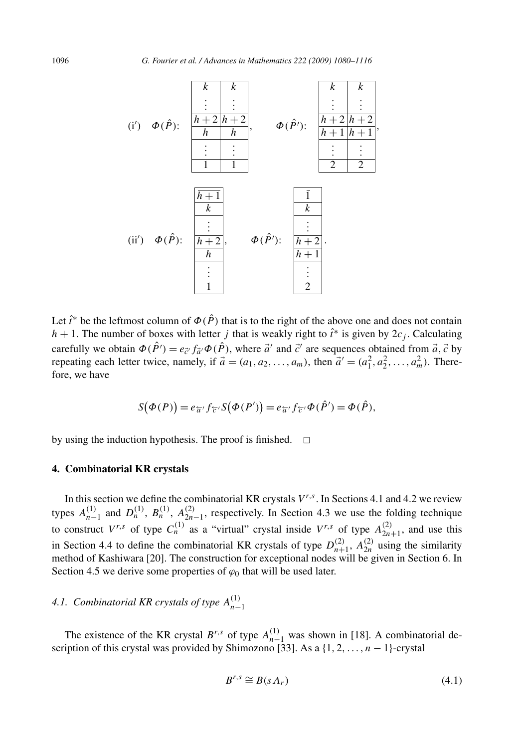

Let  $\hat{t}^*$  be the leftmost column of  $\Phi(\hat{P})$  that is to the right of the above one and does not contain *h* + 1. The number of boxes with letter *j* that is weakly right to  $\hat{i}^*$  is given by  $2c_j$ . Calculating carefully we obtain  $\Phi(\hat{P}') = e_{\vec{c}'} f_{\vec{a}'} \Phi(\hat{P})$ , where  $\vec{a}'$  and  $\vec{c}'$  are sequences obtained from  $\vec{a}, \vec{c}$  by repeating each letter twice, namely, if  $\vec{a} = (a_1, a_2, \dots, a_m)$ , then  $\vec{a}' = (a_1^2, a_2^2, \dots, a_m^2)$ . Therefore, we have

$$
S(\Phi(P)) = e_{\overline{\alpha}} f_{\overline{\zeta}} S(\Phi(P')) = e_{\overline{\alpha}} f_{\overline{\zeta}} \Phi(\hat{P}') = \Phi(\hat{P}),
$$

by using the induction hypothesis. The proof is finished.  $\Box$ 

#### **4. Combinatorial KR crystals**

In this section we define the combinatorial KR crystals  $V^{r,s}$ . In Sections 4.1 and 4.2 we review types  $A_{n-1}^{(1)}$  and  $D_n^{(1)}$ ,  $B_n^{(1)}$ ,  $A_{2n-1}^{(2)}$ , respectively. In Section 4.3 we use the folding technique to construct  $V^{r,s}$  of type  $C_n^{(1)}$  as a "virtual" crystal inside  $V^{r,s}$  of type  $A_{2n+1}^{(2)}$ , and use this in Section 4.4 to define the combinatorial KR crystals of type  $D_{n+1}^{(2)}$ ,  $A_{2n}^{(2)}$  using the similarity method of Kashiwara [20]. The construction for exceptional nodes will be given in Section 6. In Section 4.5 we derive some properties of  $\varphi_0$  that will be used later.

### *4.1. Combinatorial KR crystals of type*  $A_{n-1}^{(1)}$

The existence of the KR crystal  $B^{r,s}$  of type  $A_{n-1}^{(1)}$  was shown in [18]. A combinatorial description of this crystal was provided by Shimozono [33]. As a {1*,* 2*,...,n* − 1}-crystal

$$
B^{r,s} \cong B(s \Lambda_r) \tag{4.1}
$$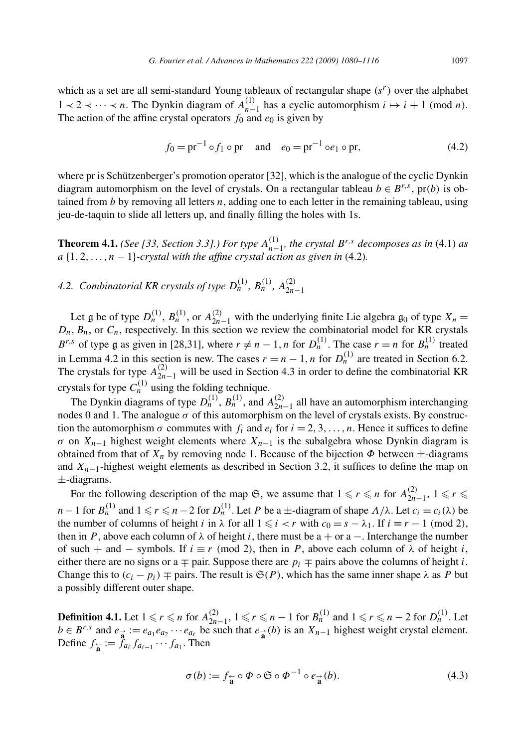which as a set are all semi-standard Young tableaux of rectangular shape *(sr)* over the alphabet 1 ≺ 2 ≺ ··· ≺ *n*. The Dynkin diagram of  $A_{n-1}^{(1)}$  has a cyclic automorphism  $i \mapsto i + 1 \pmod{n}$ . The action of the affine crystal operators  $f_0$  and  $e_0$  is given by

$$
f_0 = pr^{-1} \circ f_1 \circ pr \quad \text{and} \quad e_0 = pr^{-1} \circ e_1 \circ pr,\tag{4.2}
$$

where pr is Schützenberger's promotion operator [32], which is the analogue of the cyclic Dynkin diagram automorphism on the level of crystals. On a rectangular tableau  $b \in B^{r,s}$ , pr(b) is obtained from *b* by removing all letters *n*, adding one to each letter in the remaining tableau, using jeu-de-taquin to slide all letters up, and finally filling the holes with 1s.

**Theorem 4.1.** *(See [33, Section 3.3].) For type*  $A_{n-1}^{(1)}$ *, the crystal*  $B^{r,s}$  *decomposes as in* (4.1) *as*  $a \{1, 2, \ldots, n-1\}$ -crystal with the affine crystal action as given in (4.2).

*4.2. Combinatorial KR crystals of type*  $D_n^{(1)}$ ,  $B_n^{(1)}$ ,  $A_{2n-1}^{(2)}$ 

Let g be of type  $D_n^{(1)}$ ,  $B_n^{(1)}$ , or  $A_{2n-1}^{(2)}$  with the underlying finite Lie algebra  $\mathfrak{g}_0$  of type  $X_n =$  $D_n$ ,  $B_n$ , or  $C_n$ , respectively. In this section we review the combinatorial model for KR crystals *B<sup>r,s</sup>* of type g as given in [28,31], where  $r \neq n-1$ , *n* for  $D_n^{(1)}$ . The case  $r = n$  for  $B_n^{(1)}$  treated in Lemma 4.2 in this section is new. The cases  $r = n - 1$ , *n* for  $D_n^{(1)}$  are treated in Section 6.2. The crystals for type  $A_{2n-1}^{(2)}$  will be used in Section 4.3 in order to define the combinatorial KR crystals for type  $C_n^{(1)}$  using the folding technique.

The Dynkin diagrams of type  $D_n^{(1)}$ ,  $B_n^{(1)}$ , and  $A_{2n-1}^{(2)}$  all have an automorphism interchanging nodes 0 and 1. The analogue *σ* of this automorphism on the level of crystals exists. By construction the automorphism  $\sigma$  commutes with  $f_i$  and  $e_i$  for  $i = 2, 3, \ldots, n$ . Hence it suffices to define *σ* on  $X_{n-1}$  highest weight elements where  $X_{n-1}$  is the subalgebra whose Dynkin diagram is obtained from that of  $X_n$  by removing node 1. Because of the bijection  $\Phi$  between  $\pm$ -diagrams and *Xn*−1-highest weight elements as described in Section 3.2, it suffices to define the map on ±-diagrams.

For the following description of the map  $\mathfrak{S}$ , we assume that  $1 \leq r \leq n$  for  $A_{2n-1}^{(2)}$ ,  $1 \leq r \leq n$ *n* − 1 for  $B_n^{(1)}$  and  $1 \le r \le n - 2$  for  $D_n^{(1)}$ . Let *P* be a ±-diagram of shape  $\Lambda/\lambda$ . Let  $c_i = c_i(\lambda)$  be the number of columns of height *i* in  $\lambda$  for all  $1 \le i < r$  with  $c_0 = s - \lambda_1$ . If  $i \equiv r - 1 \pmod{2}$ , then in *P*, above each column of  $\lambda$  of height *i*, there must be a + or a –. Interchange the number of such + and − symbols. If  $i \equiv r \pmod{2}$ , then in *P*, above each column of  $\lambda$  of height *i*, either there are no signs or a  $\mp$  pair. Suppose there are  $p_i \mp$  pairs above the columns of height *i*. Change this to  $(c_i - p_i)$   $\mp$  pairs. The result is  $\mathfrak{S}(P)$ , which has the same inner shape  $\lambda$  as P but a possibly different outer shape.

**Definition 4.1.** Let  $1 \le r \le n$  for  $A_{2n-1}^{(2)}$ ,  $1 \le r \le n-1$  for  $B_n^{(1)}$  and  $1 \le r \le n-2$  for  $D_n^{(1)}$ . Let  $b \in B^{r,s}$  and  $e_{\vec{a}} := e_{a_1} e_{a_2} \cdots e_{a_\ell}$  be such that  $e_{\vec{a}}(b)$  is an  $X_{n-1}$  highest weight crystal element. Define  $f_{\mathbf{a}} := \tilde{f}_{a_\ell} f_{a_{\ell-1}} \cdots f_{a_1}$ . Then

$$
\sigma(b) := f_{\frac{\epsilon}{a}} \circ \Phi \circ \mathfrak{S} \circ \Phi^{-1} \circ e_{\frac{\epsilon}{a}}(b). \tag{4.3}
$$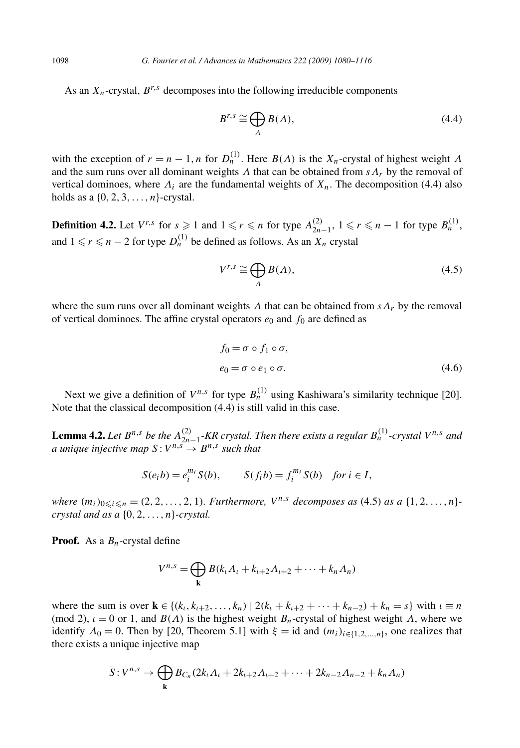As an  $X_n$ -crystal,  $B^{r,s}$  decomposes into the following irreducible components

$$
B^{r,s} \cong \bigoplus_{\Lambda} B(\Lambda),\tag{4.4}
$$

with the exception of  $r = n - 1$ , *n* for  $D_n^{(1)}$ . Here  $B(\Lambda)$  is the  $X_n$ -crystal of highest weight  $\Lambda$ and the sum runs over all dominant weights *Λ* that can be obtained from  $s\Lambda_r$  by the removal of vertical dominoes, where  $\Lambda_i$  are the fundamental weights of  $X_n$ . The decomposition (4.4) also holds as a  $\{0, 2, 3, \ldots, n\}$ -crystal.

**Definition 4.2.** Let  $V^{r,s}$  for  $s \ge 1$  and  $1 \le r \le n$  for type  $A_{2n-1}^{(2)}, 1 \le r \le n-1$  for type  $B_n^{(1)},$ and  $1 \leq r \leq n - 2$  for type  $D_n^{(1)}$  be defined as follows. As an  $X_n$  crystal

$$
V^{r,s} \cong \bigoplus_{\Lambda} B(\Lambda),\tag{4.5}
$$

where the sum runs over all dominant weights  $\Lambda$  that can be obtained from  $s\Lambda_r$  by the removal of vertical dominoes. The affine crystal operators  $e_0$  and  $f_0$  are defined as

$$
f_0 = \sigma \circ f_1 \circ \sigma,
$$
  
\n
$$
e_0 = \sigma \circ e_1 \circ \sigma.
$$
\n(4.6)

Next we give a definition of  $V^{n,s}$  for type  $B_n^{(1)}$  using Kashiwara's similarity technique [20]. Note that the classical decomposition (4.4) is still valid in this case.

**Lemma 4.2.** Let  $B^{n,s}$  be the  $A_{2n-1}^{(2)}$ -KR crystal. Then there exists a regular  $B_n^{(1)}$ -crystal  $V^{n,s}$  and *a* unique injective map  $S: V^{n,s} \to B^{n,s}$  such that

$$
S(e_i b) = e_i^{m_i} S(b), \qquad S(f_i b) = f_i^{m_i} S(b) \quad \text{for } i \in I,
$$

*where*  $(m_i)_{0 \le i \le n} = (2, 2, \ldots, 2, 1)$ *. Furthermore,*  $V^{n,s}$  *decomposes as* (4.5) *as a*  $\{1, 2, \ldots, n\}$ *crystal and as a* {0*,* 2*,...,n*}*-crystal.*

**Proof.** As a *Bn*-crystal define

$$
V^{n,s} = \bigoplus_{\mathbf{k}} B(k_{\iota}\Lambda_{\iota} + k_{\iota+2}\Lambda_{\iota+2} + \cdots + k_n\Lambda_n)
$$

where the sum is over  $\mathbf{k} \in \{(k_1, k_{1+2}, \ldots, k_n) \mid 2(k_i + k_{i+2} + \cdots + k_{n-2}) + k_n = s\}$  with  $i \equiv n$ (mod 2),  $\iota = 0$  or 1, and  $B(\Lambda)$  is the highest weight  $B_n$ -crystal of highest weight  $\Lambda$ , where we identify  $\Lambda_0 = 0$ . Then by [20, Theorem 5.1] with  $\xi = id$  and  $(m_i)_{i \in \{1, 2, \ldots, n\}}$ , one realizes that there exists a unique injective map

$$
\overline{S}: V^{n,s} \to \bigoplus_{\mathbf{k}} B_{C_n}(2k_{\iota}\Lambda_{\iota}+2k_{\iota+2}\Lambda_{\iota+2}+\cdots+2k_{n-2}\Lambda_{n-2}+k_n\Lambda_n)
$$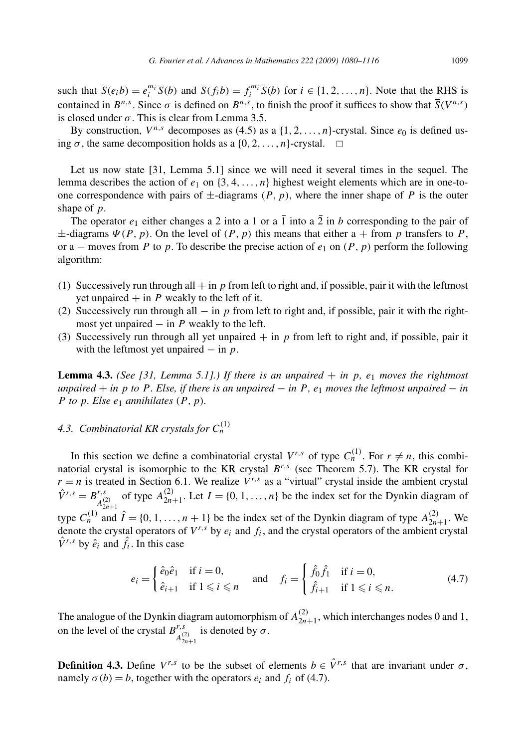such that  $\overline{S}(e_i b) = e_i^{m_i} \overline{S}(b)$  and  $\overline{S}(f_i b) = f_i^{m_i} \overline{S}(b)$  for  $i \in \{1, 2, ..., n\}$ . Note that the RHS is contained in  $B^{n,s}$ . Since  $\sigma$  is defined on  $B^{n,s}$ , to finish the proof it suffices to show that  $\overline{S}(V^{n,s})$ is closed under  $\sigma$ . This is clear from Lemma 3.5.

By construction,  $V^{n,s}$  decomposes as (4.5) as a  $\{1, 2, \ldots, n\}$ -crystal. Since  $e_0$  is defined using  $\sigma$ , the same decomposition holds as a  $\{0, 2, ..., n\}$ -crystal.  $\Box$ 

Let us now state [31, Lemma 5.1] since we will need it several times in the sequel. The lemma describes the action of  $e_1$  on  $\{3, 4, \ldots, n\}$  highest weight elements which are in one-toone correspondence with pairs of  $\pm$ -diagrams  $(P, p)$ , where the inner shape of P is the outer shape of *p*.

The operator  $e_1$  either changes a 2 into a 1 or a 1 into a 2 in *b* corresponding to the pair of  $\pm$ -diagrams  $\Psi(P, p)$ . On the level of  $(P, p)$  this means that either a + from p transfers to P, or a – moves from *P* to *p*. To describe the precise action of  $e_1$  on  $(P, p)$  perform the following algorithm:

- (1) Successively run through all  $+$  in *p* from left to right and, if possible, pair it with the leftmost yet unpaired  $+$  in  $P$  weakly to the left of it.
- (2) Successively run through all − in *p* from left to right and, if possible, pair it with the rightmost yet unpaired  $-$  in  $P$  weakly to the left.
- (3) Successively run through all yet unpaired  $+$  in  $p$  from left to right and, if possible, pair it with the leftmost yet unpaired − in *p*.

**Lemma 4.3.** *(See [31, Lemma 5.1].) If there is an unpaired*  $+$  *in p*,  $e_1$  *moves the rightmost*  $unpaired + in p$  *to*  $P$ *. Else, if there is an unpaired*  $- in P$ *, e<sub>1</sub> moves the leftmost unpaired*  $- in$ *P to*  $p$ *. Else*  $e_1$  *annihilates*  $(P, p)$ *.* 

### 4.3. Combinatorial KR crystals for  $C_n^{(1)}$

In this section we define a combinatorial crystal  $V^{r,s}$  of type  $C_n^{(1)}$ . For  $r \neq n$ , this combinatorial crystal is isomorphic to the KR crystal *Br,s* (see Theorem 5.7). The KR crystal for  $r = n$  is treated in Section 6.1. We realize  $V^{r,s}$  as a "virtual" crystal inside the ambient crystal  $\hat{V}^{r,s} = B^{r,s}_{A_{2n+1}^{(2)}}$  of type  $A_{2n+1}^{(2)}$ . Let  $I = \{0, 1, ..., n\}$  be the index set for the Dynkin diagram of type  $C_n^{(1)}$  and  $\hat{I} = \{0, 1, \ldots, n + 1\}$  be the index set of the Dynkin diagram of type  $A_{2n+1}^{(2)}$ . We denote the crystal operators of  $V^{r,s}$  by  $e_i$  and  $f_i$ , and the crystal operators of the ambient crystal  $\hat{V}^{r,s}$  by  $\hat{e}_i$  and  $\hat{f}_i$ . In this case

$$
e_i = \begin{cases} \hat{e}_0 \hat{e}_1 & \text{if } i = 0, \\ \hat{e}_{i+1} & \text{if } 1 \leq i \leq n \end{cases} \quad \text{and} \quad f_i = \begin{cases} \hat{f}_0 \hat{f}_1 & \text{if } i = 0, \\ \hat{f}_{i+1} & \text{if } 1 \leq i \leq n. \end{cases} \tag{4.7}
$$

The analogue of the Dynkin diagram automorphism of  $A_{2n+1}^{(2)}$ , which interchanges nodes 0 and 1, on the level of the crystal  $B^{r,s}_{A^{(2)}_{2n+1}}$  is denoted by  $\sigma$ .

**Definition 4.3.** Define  $V^{r,s}$  to be the subset of elements  $b \in \hat{V}^{r,s}$  that are invariant under  $\sigma$ , namely  $\sigma(b) = b$ , together with the operators  $e_i$  and  $f_i$  of (4.7).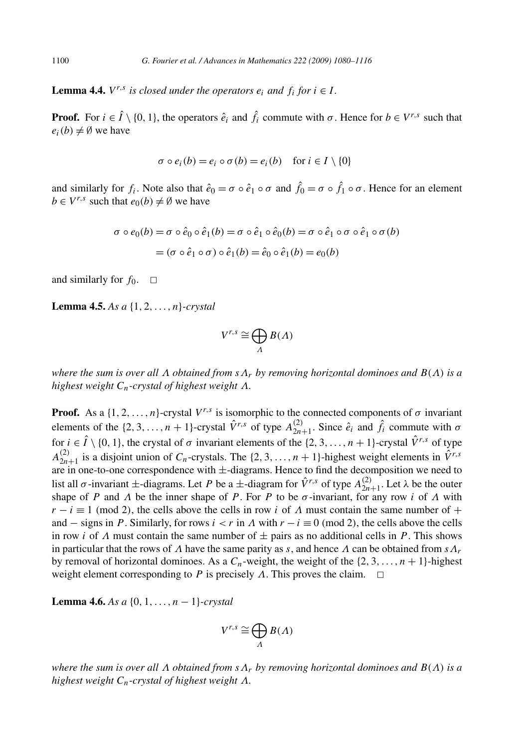**Lemma 4.4.**  $V^{r,s}$  *is closed under the operators*  $e_i$  *and*  $f_i$  *for*  $i \in I$ *.* 

**Proof.** For  $i \in \hat{I} \setminus \{0, 1\}$ , the operators  $\hat{e}_i$  and  $\hat{f}_i$  commute with  $\sigma$ . Hence for  $b \in V^{r,s}$  such that  $e_i(b) \neq \emptyset$  we have

$$
\sigma \circ e_i(b) = e_i \circ \sigma(b) = e_i(b) \quad \text{for } i \in I \setminus \{0\}
$$

and similarly for  $f_i$ . Note also that  $\hat{e}_0 = \sigma \circ \hat{e}_1 \circ \sigma$  and  $\hat{f}_0 = \sigma \circ \hat{f}_1 \circ \sigma$ . Hence for an element  $b \in V^{r,s}$  such that  $e_0(b) \neq \emptyset$  we have

$$
\sigma \circ e_0(b) = \sigma \circ \hat{e}_0 \circ \hat{e}_1(b) = \sigma \circ \hat{e}_1 \circ \hat{e}_0(b) = \sigma \circ \hat{e}_1 \circ \sigma \circ \hat{e}_1 \circ \sigma (b)
$$

$$
= (\sigma \circ \hat{e}_1 \circ \sigma) \circ \hat{e}_1(b) = \hat{e}_0 \circ \hat{e}_1(b) = e_0(b)
$$

and similarly for  $f_0$ .  $\Box$ 

**Lemma 4.5.** *As a* {1*,* 2*,...,n*}*-crystal*

$$
V^{r,s}\cong\bigoplus_{\Lambda}B(\Lambda)
$$

*where the sum is over all Λ obtained from sΛr by removing horizontal dominoes and B(Λ) is a highest weight Cn-crystal of highest weight Λ.*

**Proof.** As a  $\{1, 2, ..., n\}$ -crystal  $V^{r,s}$  is isomorphic to the connected components of  $\sigma$  invariant elements of the  $\{2, 3, ..., n + 1\}$ -crystal  $\hat{V}^{r,s}$  of type  $A_{2n+1}^{(2)}$ . Since  $\hat{e}_i$  and  $\hat{f}_i$  commute with  $\sigma$ for  $i \in \hat{I} \setminus \{0, 1\}$ , the crystal of  $\sigma$  invariant elements of the  $\{2, 3, ..., n + 1\}$ -crystal  $\hat{V}^{r,s}$  of type  $A_{2n+1}^{(2)}$  is a disjoint union of *C<sub>n</sub>*-crystals. The {2, 3, ..., *n* + 1}-highest weight elements in  $\hat{V}^{r,s}$ are in one-to-one correspondence with  $\pm$ -diagrams. Hence to find the decomposition we need to list all  $\sigma$ -invariant  $\pm$ -diagrams. Let *P* be a  $\pm$ -diagram for  $\hat{V}^{r,s}$  of type  $A_{2n+1}^{(2)}$ . Let  $\lambda$  be the outer shape of *P* and *Λ* be the inner shape of *P*. For *P* to be *σ*-invariant, for any row *i* of *Λ* with  $r - i \equiv 1 \pmod{2}$ , the cells above the cells in row *i* of *Λ* must contain the same number of + and  $-$  signs in *P*. Similarly, for rows  $i < r$  in  $\Lambda$  with  $r - i \equiv 0 \pmod{2}$ , the cells above the cells in row *i* of *Λ* must contain the same number of  $\pm$  pairs as no additional cells in *P*. This shows in particular that the rows of *Λ* have the same parity as *s*, and hence *Λ* can be obtained from *sΛr* by removal of horizontal dominoes. As a  $C_n$ -weight, the weight of the  $\{2, 3, \ldots, n + 1\}$ -highest weight element corresponding to *P* is precisely  $\Lambda$ . This proves the claim.  $\square$ 

**Lemma 4.6.** *As a* {0*,* 1*,...,n* − 1}*-crystal*

$$
V^{r,s}\cong\bigoplus_{\Lambda}B(\Lambda)
$$

*where the sum is over all Λ obtained from sΛr by removing horizontal dominoes and B(Λ) is a highest weight Cn-crystal of highest weight Λ.*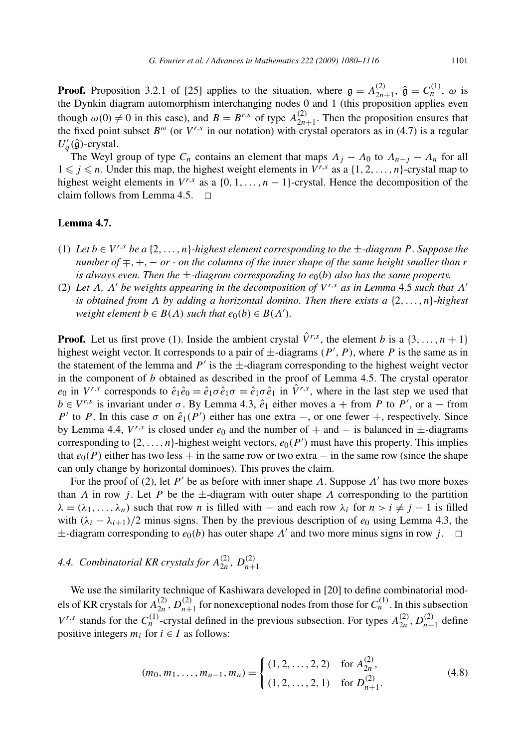**Proof.** Proposition 3.2.1 of [25] applies to the situation, where  $\mathfrak{g} = A_{2n+1}^{(2)}$ ,  $\hat{\mathfrak{g}} = C_n^{(1)}$ ,  $\omega$  is the Dynkin diagram automorphism interchanging nodes 0 and 1 (this proposition applies even though  $\omega(0) \neq 0$  in this case), and  $B = B^{r,s}$  of type  $A_{2n+1}^{(2)}$ . Then the proposition ensures that the fixed point subset  $B^{\omega}$  (or  $V^{r,s}$  in our notation) with crystal operators as in (4.7) is a regular  $U'_q(\hat{\mathfrak{g}})$ -crystal.

The Weyl group of type  $C_n$  contains an element that maps  $\Lambda_j - \Lambda_0$  to  $\Lambda_{n-j} - \Lambda_n$  for all  $1 \leq j \leq n$ . Under this map, the highest weight elements in  $V^{r,s}$  as a  $\{1, 2, ..., n\}$ -crystal map to highest weight elements in  $V^{r,s}$  as a {0, 1, ..., n – 1}-crystal. Hence the decomposition of the claim follows from Lemma 4.5.  $\Box$ 

#### **Lemma 4.7.**

- (1) Let  $b \in V^{r,s}$  be a {2,...,n}*-highest element corresponding to the*  $\pm$ *-diagram P*. Suppose the *number of* ∓*,*+*,*− *or* · *on the columns of the inner shape of the same height smaller than r is always even. Then the*  $\pm$ *-diagram corresponding to*  $e_0(b)$  *also has the same property.*
- (2) *Let Λ, Λ be weights appearing in the decomposition of V r,s as in Lemma* 4.5 *such that Λ is obtained from Λ by adding a horizontal domino. Then there exists a* {2*,...,n*}*-highest weight element*  $b \in B(\Lambda)$  *such that*  $e_0(b) \in B(\Lambda')$ *.*

**Proof.** Let us first prove (1). Inside the ambient crystal  $\hat{V}^{r,s}$ , the element *b* is a {3,..., *n* + 1} highest weight vector. It corresponds to a pair of  $\pm$ -diagrams  $(P', P)$ , where P is the same as in the statement of the lemma and  $P'$  is the  $\pm$ -diagram corresponding to the highest weight vector in the component of *b* obtained as described in the proof of Lemma 4.5. The crystal operator *e*<sub>0</sub> in  $V^{r,s}$  corresponds to  $\hat{e}_1 \hat{e}_0 = \hat{e}_1 \sigma \hat{e}_1 \sigma = \hat{e}_1 \sigma \hat{e}_1$  in  $\hat{V}^{r,s}$ , where in the last step we used that  $b \in V^{r,s}$  is invariant under  $\sigma$ . By Lemma 4.3,  $\hat{e}_1$  either moves a + from *P* to *P*', or a – from *P*' to *P*. In this case  $\sigma$  on  $\hat{e}_1(P')$  either has one extra –, or one fewer +, respectively. Since by Lemma 4.4,  $V^{r,s}$  is closed under  $e_0$  and the number of  $+$  and  $-$  is balanced in  $\pm$ -diagrams corresponding to  $\{2, \ldots, n\}$ -highest weight vectors,  $e_0(P')$  must have this property. This implies that  $e_0(P)$  either has two less + in the same row or two extra  $-$  in the same row (since the shape can only change by horizontal dominoes). This proves the claim.

For the proof of (2), let *P'* be as before with inner shape *Λ*. Suppose  $\Lambda'$  has two more boxes than *Λ* in row *j*. Let *P* be the  $\pm$ -diagram with outer shape *Λ* corresponding to the partition  $\lambda = (\lambda_1, \ldots, \lambda_n)$  such that row *n* is filled with – and each row  $\lambda_i$  for  $n > i \neq j - 1$  is filled with  $(\lambda_i - \lambda_{i+1})/2$  minus signs. Then by the previous description of  $e_0$  using Lemma 4.3, the  $\pm$ -diagram corresponding to  $e_0(b)$  has outer shape  $\Lambda'$  and two more minus signs in row *j*.  $\Box$ 

### *4.4. Combinatorial KR crystals for*  $A_{2n}^{(2)}$ ,  $D_{n+1}^{(2)}$

We use the similarity technique of Kashiwara developed in [20] to define combinatorial models of KR crystals for  $A_{2n}^{(2)}$ ,  $D_{n+1}^{(2)}$  for nonexceptional nodes from those for  $C_n^{(1)}$ . In this subsection *V<sup>r,s</sup>* stands for the  $C_n^{(1)}$ -crystal defined in the previous subsection. For types  $A_{2n}^{(2)}$ ,  $D_{n+1}^{(2)}$  define positive integers  $m_i$  for  $i \in I$  as follows:

$$
(m_0, m_1, \dots, m_{n-1}, m_n) = \begin{cases} (1, 2, \dots, 2, 2) & \text{for } A_{2n}^{(2)}, \\ (1, 2, \dots, 2, 1) & \text{for } D_{n+1}^{(2)}. \end{cases}
$$
(4.8)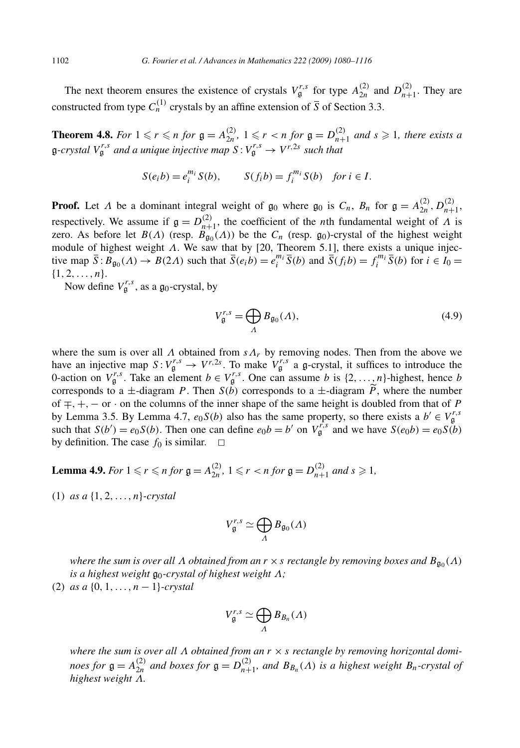The next theorem ensures the existence of crystals  $V_{\mathfrak{g}}^{r,s}$  for type  $A_{2n}^{(2)}$  and  $D_{n+1}^{(2)}$ . They are constructed from type  $C_n^{(1)}$  crystals by an affine extension of  $\overline{S}$  of Section 3.3.

**Theorem 4.8.** For  $1 \le r \le n$  for  $\mathfrak{g} = A_{2n}^{(2)}$ ,  $1 \le r < n$  for  $\mathfrak{g} = D_{n+1}^{(2)}$  and  $s \ge 1$ , there exists a  $\mathfrak{g}$ -crystal  $V_{\mathfrak{g}}^{r,s}$  and a unique injective map  $S: V_{\mathfrak{g}}^{r,s} \to V^{r,2s}$  such that

$$
S(e_i b) = e_i^{m_i} S(b), \qquad S(f_i b) = f_i^{m_i} S(b) \quad \text{for } i \in I.
$$

**Proof.** Let *Λ* be a dominant integral weight of  $\mathfrak{g}_0$  where  $\mathfrak{g}_0$  is  $C_n$ ,  $B_n$  for  $\mathfrak{g} = A_{2n}^{(2)}$ ,  $D_{n+1}^{(2)}$ , respectively. We assume if  $\mathfrak{g} = D_{n+1}^{(2)}$ , the coefficient of the *n*th fundamental weight of *Λ* is zero. As before let  $B(\Lambda)$  (resp.  $B_{g_0}(\Lambda)$ ) be the  $C_n$  (resp.  $g_0$ )-crystal of the highest weight module of highest weight *Λ*. We saw that by [20, Theorem 5.1], there exists a unique injective map  $\overline{S}$ :  $\overline{B}_{g_0}(A) \to \overline{B}(2A)$  such that  $\overline{S}(e_i b) = e_i^{m_i} \overline{S}(b)$  and  $\overline{S}(f_i b) = f_i^{m_i} \overline{S}(b)$  for  $i \in I_0 = I_0$  $\{1, 2, \ldots, n\}.$ 

Now define  $V_{\mathfrak{g}}^{r,s}$ , as a  $\mathfrak{g}_0$ -crystal, by

$$
V_{\mathfrak{g}}^{r,s} = \bigoplus_{\Lambda} B_{\mathfrak{g}_0}(\Lambda),\tag{4.9}
$$

where the sum is over all  $\Lambda$  obtained from  $s\Lambda_r$  by removing nodes. Then from the above we have an injective map  $S: V_g^{r,s} \to V^{r,2s}$ . To make  $V_g^{r,s}$  a g-crystal, it suffices to introduce the 0-action on  $V_{\mathfrak{g}}^{r,s}$ . Take an element  $b \in V_{\mathfrak{g}}^{r,s}$ . One can assume *b* is  $\{2,\ldots,n\}$ -highest, hence *b* corresponds to a  $\pm$ -diagram *P*. Then *S(b)* corresponds to a  $\pm$ -diagram *P*, where the number of ∓*,*+*,*− or · on the columns of the inner shape of the same height is doubled from that of *P* by Lemma 3.5. By Lemma 4.7,  $e_0S(b)$  also has the same property, so there exists a  $b' \in V^{r,s}_{\mathfrak{g}}$ such that  $S(b') = e_0 S(b)$ . Then one can define  $e_0 b = b'$  on  $V_{\mathfrak{g}}^{f,s}$  and we have  $S(e_0 b) = e_0 S(b)$ by definition. The case  $f_0$  is similar.  $\Box$ 

**Lemma 4.9.** *For*  $1 \le r \le n$  *for*  $\mathfrak{g} = A_{2n}^{(2)}$ ,  $1 \le r < n$  *for*  $\mathfrak{g} = D_{n+1}^{(2)}$  *and*  $s \ge 1$ *,* 

(1) *as a* {1*,* 2*,...,n*}*-crystal*

$$
V_{\mathfrak{g}}^{r,s} \simeq \bigoplus_{\Lambda} B_{\mathfrak{g}_0}(\Lambda)
$$

*where the sum is over all*  $\Lambda$  *obtained from an*  $r \times s$  *rectangle by removing boxes and*  $B_{\mathfrak{a}_0}(\Lambda)$ *is a highest weight*  $\mathfrak{g}_0$ -crystal of highest weight  $Λ$ *;* 

(2) *as a* {0*,* 1*,...,n* − 1}*-crystal*

$$
V_{\mathfrak{g}}^{r,s}\simeq \bigoplus_{\Lambda}B_{B_n}(\Lambda)
$$

*where the sum is over all Λ obtained from an r* × *s rectangle by removing horizontal dominoes for*  $\mathfrak{g} = A_{2n}^{(2)}$  *and boxes for*  $\mathfrak{g} = D_{n+1}^{(2)}$ *, and*  $B_{B_n}(\Lambda)$  *is a highest weight*  $B_n$ *-crystal of highest weight Λ.*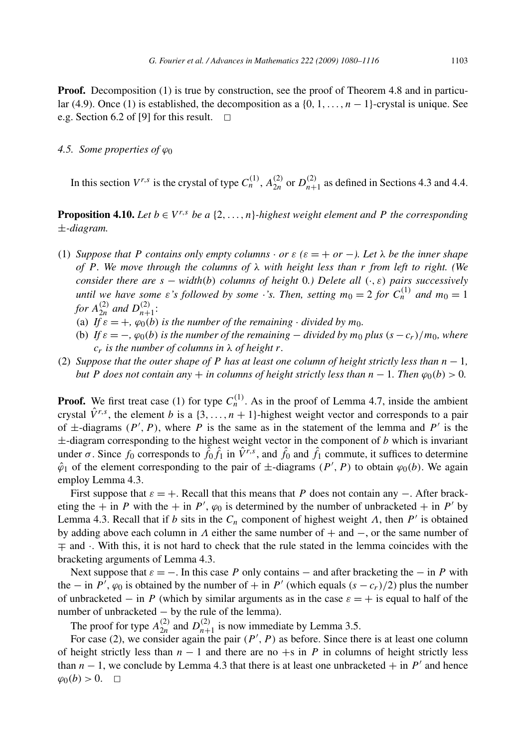**Proof.** Decomposition (1) is true by construction, see the proof of Theorem 4.8 and in particular (4.9). Once (1) is established, the decomposition as a  $\{0, 1, \ldots, n - 1\}$ -crystal is unique. See e.g. Section 6.2 of [9] for this result.  $\Box$ 

#### *4.5. Some properties of ϕ*<sup>0</sup>

In this section  $V^{r,s}$  is the crystal of type  $C_n^{(1)}$ ,  $A_{2n}^{(2)}$  or  $D_{n+1}^{(2)}$  as defined in Sections 4.3 and 4.4.

**Proposition 4.10.** *Let*  $b \in V^{r,s}$  *be a* {2, ...,n}*-highest weight element and P the corresponding* ±*-diagram.*

- (1) *Suppose that P* contains only empty columns  $\cdot$  or  $\varepsilon$  ( $\varepsilon = +$  or  $-$ ). Let  $\lambda$  be the inner shape *of P . We move through the columns of λ with height less than r from left to right. (We consider there are s* − *width(b) columns of height* 0*.) Delete all (*·*,ε) pairs successively until we have some ε's followed by some* ·*'s. Then, setting*  $m_0 = 2$  *for*  $C_n^{(1)}$  *and*  $m_0 = 1$ *for*  $A_{2n}^{(2)}$  *and*  $D_{n+1}^{(2)}$ :
	- (a) *If*  $\varepsilon = +$ *,*  $\varphi_0(b)$  *is the number of the remaining*  $\cdot$  *divided by m*<sub>0</sub>*.*
	- (b) If  $\varepsilon = -$ ,  $\varphi_0(b)$  is the number of the remaining  $-$  divided by  $m_0$  plus  $(s c_r)/m_0$ , where *cr is the number of columns in λ of height r.*
- (2) *Suppose that the outer shape of P has at least one column of height strictly less than*  $n 1$ , *but P* does not contain any  $+$  *in columns of height strictly less than*  $n - 1$ *. Then*  $\varphi_0(b) > 0$ *.*

**Proof.** We first treat case (1) for type  $C<sub>n</sub><sup>(1)</sup>$ . As in the proof of Lemma 4.7, inside the ambient crystal  $\hat{V}^{r,s}$ , the element *b* is a {3,..., *n* + 1}-highest weight vector and corresponds to a pair of  $\pm$ -diagrams  $(P', P)$ , where *P* is the same as in the statement of the lemma and *P'* is the  $\pm$ -diagram corresponding to the highest weight vector in the component of *b* which is invariant under  $\sigma$ . Since  $f_0$  corresponds to  $\hat{f}_0 \hat{f}_1$  in  $\hat{V}^{r,s}$ , and  $\hat{f}_0$  and  $\hat{f}_1$  commute, it suffices to determine  $\hat{\varphi}_1$  of the element corresponding to the pair of  $\pm$ -diagrams  $(P', P)$  to obtain  $\varphi_0(b)$ . We again employ Lemma 4.3.

First suppose that  $\varepsilon = +$ . Recall that this means that *P* does not contain any –. After bracketing the + in *P* with the + in *P'*,  $\varphi_0$  is determined by the number of unbracketed + in *P'* by Lemma 4.3. Recall that if *b* sits in the  $C_n$  component of highest weight  $\Lambda$ , then  $P'$  is obtained by adding above each column in *Λ* either the same number of + and −, or the same number of ∓ and ·. With this, it is not hard to check that the rule stated in the lemma coincides with the bracketing arguments of Lemma 4.3.

Next suppose that  $\varepsilon = -$ . In this case *P* only contains – and after bracketing the – in *P* with the – in *P'*,  $\varphi_0$  is obtained by the number of + in *P'* (which equals  $(s - c_r)/2$ ) plus the number of unbracketed – in *P* (which by similar arguments as in the case  $\varepsilon = +$  is equal to half of the number of unbracketed − by the rule of the lemma).

The proof for type  $A_{2n}^{(2)}$  and  $D_{n+1}^{(2)}$  is now immediate by Lemma 3.5.

For case (2), we consider again the pair  $(P', P)$  as before. Since there is at least one column of height strictly less than  $n - 1$  and there are no +s in *P* in columns of height strictly less than  $n - 1$ , we conclude by Lemma 4.3 that there is at least one unbracketed  $+$  in *P'* and hence  $\varphi_0(b) > 0$ . <del></del>□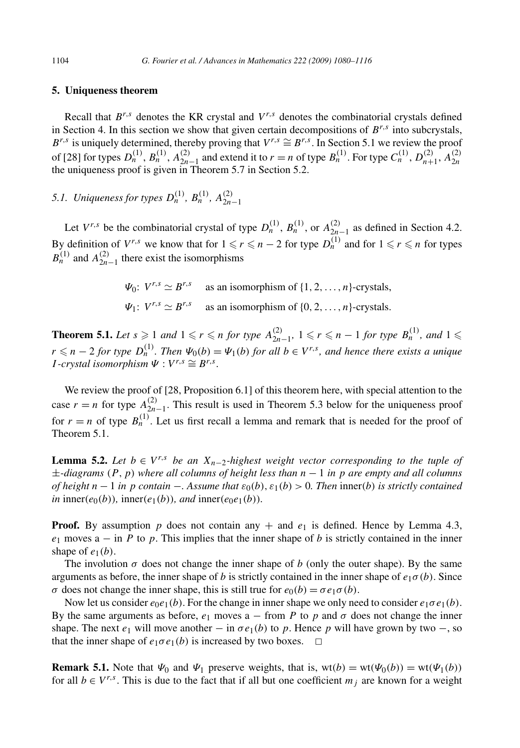#### **5. Uniqueness theorem**

Recall that  $B^{r,s}$  denotes the KR crystal and  $V^{r,s}$  denotes the combinatorial crystals defined in Section 4. In this section we show that given certain decompositions of  $B^{r,s}$  into subcrystals,  $B^{r,s}$  is uniquely determined, thereby proving that  $V^{r,s} \cong B^{r,s}$ . In Section 5.1 we review the proof of [28] for types  $D_n^{(1)}$ ,  $B_n^{(1)}$ ,  $A_{2n-1}^{(2)}$  and extend it to  $r = n$  of type  $B_n^{(1)}$ . For type  $C_n^{(1)}$ ,  $D_{n+1}^{(2)}$ ,  $A_{2n}^{(2)}$ the uniqueness proof is given in Theorem 5.7 in Section 5.2.

*5.1. Uniqueness for types*  $D_n^{(1)}$ ,  $B_n^{(1)}$ ,  $A_{2n-1}^{(2)}$ 

Let  $V^{r,s}$  be the combinatorial crystal of type  $D_n^{(1)}$ ,  $B_n^{(1)}$ , or  $A_{2n-1}^{(2)}$  as defined in Section 4.2. By definition of  $V^{r,s}$  we know that for  $1 \leq r \leq n-2$  for type  $D_n^{(1)}$  and for  $1 \leq r \leq n$  for types  $B<sub>n</sub><sup>(1)</sup>$  and  $A<sub>2n-1</sub><sup>(2)</sup>$  there exist the isomorphisms

> *Ψ*<sub>0</sub>:  $V^{r,s} \simeq B^{r,s}$  as an isomorphism of  $\{1, 2, ..., n\}$ -crystals, *Ψ*<sub>1</sub>:  $V^{r,s} \simeq B^{r,s}$  as an isomorphism of {0*,* 2*, ...,n*}-crystals.

**Theorem 5.1.** Let  $s \ge 1$  and  $1 \le r \le n$  for type  $A_{2n-1}^{(2)}$ ,  $1 \le r \le n-1$  for type  $B_n^{(1)}$ , and  $1 \le n$  $r \leq n - 2$  *for type*  $D_n^{(1)}$ *. Then*  $\Psi_0(b) = \Psi_1(b)$  *for all*  $b \in V^{r,s}$ *, and hence there exists a unique*  $I$ -crystal isomorphism  $\Psi : V^{r,s} \cong B^{r,s}$ .

We review the proof of [28, Proposition 6.1] of this theorem here, with special attention to the case  $r = n$  for type  $A_{2n-1}^{(2)}$ . This result is used in Theorem 5.3 below for the uniqueness proof for  $r = n$  of type  $B_n^{(1)}$ . Let us first recall a lemma and remark that is needed for the proof of Theorem 5.1.

**Lemma 5.2.** *Let b* ∈ *V<sup>r,s</sup> be an*  $X_{n-2}$ *-highest weight vector corresponding to the tuple of* ±*-diagrams (P,p) where all columns of height less than n* − 1 *in p are empty and all columns of height*  $n - 1$  *in*  $p$  *contain* −*. Assume that*  $\varepsilon_0(b)$ ,  $\varepsilon_1(b) > 0$ *. Then* inner(*b*) *is strictly contained in* inner $(e_0(b))$ , inner $(e_1(b))$ *, and* inner $(e_0e_1(b))$ *.* 

**Proof.** By assumption p does not contain any  $+$  and  $e_1$  is defined. Hence by Lemma 4.3,  $e_1$  moves  $a - in P$  to p. This implies that the inner shape of b is strictly contained in the inner shape of  $e_1(b)$ .

The involution  $\sigma$  does not change the inner shape of *b* (only the outer shape). By the same arguments as before, the inner shape of *b* is strictly contained in the inner shape of  $e_1\sigma(b)$ . Since *σ* does not change the inner shape, this is still true for  $e_0(b) = σ e_1 σ(b)$ .

Now let us consider  $e_0e_1(b)$ . For the change in inner shape we only need to consider  $e_1\sigma e_1(b)$ . By the same arguments as before,  $e_1$  moves  $a$  – from P to p and  $\sigma$  does not change the inner shape. The next  $e_1$  will move another  $-$  in  $\sigma e_1(b)$  to p. Hence p will have grown by two  $-$ , so that the inner shape of  $e_1 \sigma e_1(b)$  is increased by two boxes.  $\Box$ 

**Remark 5.1.** Note that  $\Psi_0$  and  $\Psi_1$  preserve weights, that is, wt $(b) = \text{wt}(\Psi_0(b)) = \text{wt}(\Psi_1(b))$ for all  $b \in V^{r,s}$ . This is due to the fact that if all but one coefficient  $m_j$  are known for a weight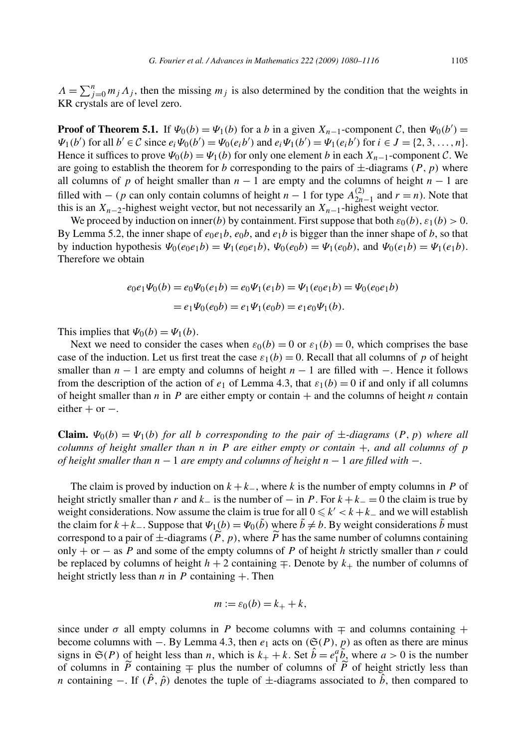$\Lambda = \sum_{j=0}^{n} m_j \Lambda_j$ , then the missing  $m_j$  is also determined by the condition that the weights in KR crystals are of level zero.

**Proof of Theorem 5.1.** If  $\Psi_0(b) = \Psi_1(b)$  for a *b* in a given  $X_{n-1}$ -component  $C$ , then  $\Psi_0(b') =$  $\Psi_1(b')$  for all  $b' \in C$  since  $e_i \Psi_0(b') = \Psi_0(e_i b')$  and  $e_i \Psi_1(b') = \Psi_1(e_i b')$  for  $i \in J = \{2, 3, ..., n\}.$ Hence it suffices to prove  $\Psi_0(b) = \Psi_1(b)$  for only one element *b* in each  $X_{n-1}$ -component *C*. We are going to establish the theorem for *b* corresponding to the pairs of  $\pm$ -diagrams  $(P, p)$  where all columns of *p* of height smaller than  $n - 1$  are empty and the columns of height  $n - 1$  are filled with  $-$  (*p* can only contain columns of height *n* − 1 for type  $A_{2n-1}^{(2)}$  and *r* = *n*). Note that this is an *Xn*−2-highest weight vector, but not necessarily an *Xn*−1-highest weight vector.

We proceed by induction on inner(*b*) by containment. First suppose that both  $\varepsilon_0(b)$ ,  $\varepsilon_1(b) > 0$ . By Lemma 5.2, the inner shape of  $e_0e_1b$ ,  $e_0b$ , and  $e_1b$  is bigger than the inner shape of *b*, so that by induction hypothesis  $\Psi_0(e_0e_1b) = \Psi_1(e_0e_1b)$ ,  $\Psi_0(e_0b) = \Psi_1(e_0b)$ , and  $\Psi_0(e_1b) = \Psi_1(e_1b)$ . Therefore we obtain

$$
e_0e_1\Psi_0(b) = e_0\Psi_0(e_1b) = e_0\Psi_1(e_1b) = \Psi_1(e_0e_1b) = \Psi_0(e_0e_1b)
$$
  
=  $e_1\Psi_0(e_0b) = e_1\Psi_1(e_0b) = e_1e_0\Psi_1(b)$ .

This implies that  $\Psi_0(b) = \Psi_1(b)$ .

Next we need to consider the cases when  $\varepsilon_0(b) = 0$  or  $\varepsilon_1(b) = 0$ , which comprises the base case of the induction. Let us first treat the case  $\varepsilon_1(b) = 0$ . Recall that all columns of p of height smaller than *n* − 1 are empty and columns of height *n* − 1 are filled with −. Hence it follows from the description of the action of  $e_1$  of Lemma 4.3, that  $\varepsilon_1(b) = 0$  if and only if all columns of height smaller than  $n$  in  $P$  are either empty or contain  $+$  and the columns of height  $n$  contain either  $+$  or  $-$ .

**Claim.**  $\Psi_0(b) = \Psi_1(b)$  for all b corresponding to the pair of  $\pm$ -diagrams  $(P, p)$  where all *columns of height smaller than n in P are either empty or contain* +*, and all columns of p of height smaller than n* − 1 *are empty and columns of height n* − 1 *are filled with* −*.*

The claim is proved by induction on  $k + k_$ , where k is the number of empty columns in P of height strictly smaller than *r* and  $k_$  is the number of  $-$  in *P*. For  $k + k_$  = 0 the claim is true by weight considerations. Now assume the claim is true for all  $0 \le k' < k + k_-$  and we will establish the claim for  $k + k_-\$ . Suppose that  $\Psi_1(b) = \Psi_0(\tilde{b})$  where  $\tilde{b} \neq b$ . By weight considerations  $\tilde{b}$  must correspond to a pair of  $\pm$ -diagrams  $(\overline{P}, p)$ , where  $\overline{P}$  has the same number of columns containing only + or − as *P* and some of the empty columns of *P* of height *h* strictly smaller than *r* could be replaced by columns of height  $h + 2$  containing  $\mp$ . Denote by  $k_{+}$  the number of columns of height strictly less than  $n$  in  $P$  containing  $+$ . Then

$$
m := \varepsilon_0(b) = k_+ + k,
$$

since under  $\sigma$  all empty columns in *P* become columns with  $\mp$  and columns containing  $+$ become columns with  $-$ . By Lemma 4.3, then  $e_1$  acts on  $(\mathfrak{S}(P), p)$  as often as there are minus signs in  $\mathfrak{S}(P)$  of height less than *n*, which is  $k_+ + k$ . Set  $\hat{b} = e_1^a \tilde{b}$ , where  $a > 0$  is the number of columns in  $\overline{P}$  containing  $\mp$  plus the number of columns of  $\overline{P}$  of height strictly less than *n* containing –. If  $(\hat{P}, \hat{p})$  denotes the tuple of  $\pm$ -diagrams associated to  $\hat{b}$ , then compared to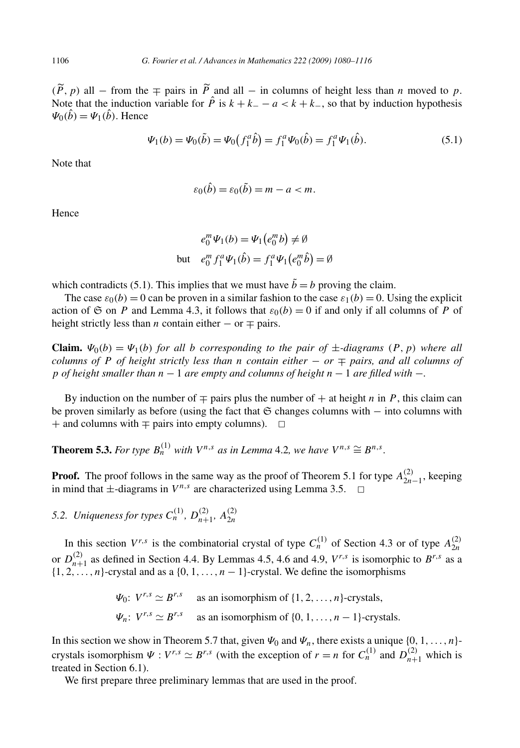*(P, p)* all − from the  $\mp$  pairs in *P* and all − in columns of height less than *n* moved to *p*. Note that the induction variable for  $\hat{P}$  is  $k + k - a < k + k$ , so that by induction hypothesis  $\Psi_0(\hat{b}) = \Psi_1(\hat{b})$ . Hence

$$
\Psi_1(b) = \Psi_0(\tilde{b}) = \Psi_0(f_1^a \hat{b}) = f_1^a \Psi_0(\hat{b}) = f_1^a \Psi_1(\hat{b}).
$$
\n(5.1)

Note that

$$
\varepsilon_0(\hat{b}) = \varepsilon_0(\tilde{b}) = m - a < m.
$$

Hence

$$
e_0^m \Psi_1(b) = \Psi_1(e_0^m b) \neq \emptyset
$$
  
but 
$$
e_0^m f_1^a \Psi_1(\hat{b}) = f_1^a \Psi_1(e_0^m \hat{b}) = \emptyset
$$

which contradicts (5.1). This implies that we must have  $\tilde{b} = b$  proving the claim.

The case  $\varepsilon_0(b) = 0$  can be proven in a similar fashion to the case  $\varepsilon_1(b) = 0$ . Using the explicit action of  $\mathfrak S$  on *P* and Lemma 4.3, it follows that  $\varepsilon_0(b) = 0$  if and only if all columns of *P* of height strictly less than *n* contain either  $-$  or  $\mp$  pairs.

**Claim.**  $\Psi_0(b) = \Psi_1(b)$  for all b corresponding to the pair of  $\pm$ -diagrams  $(P, p)$  where all *columns of P of height strictly less than n contain either*  $-$  *or*  $\mp$  *pairs, and all columns of p of height smaller than n* − 1 *are empty and columns of height n* − 1 *are filled with* −*.*

By induction on the number of  $\mp$  pairs plus the number of  $+$  at height *n* in *P*, this claim can be proven similarly as before (using the fact that  $\mathfrak S$  changes columns with − into columns with  $+$  and columns with  $\mp$  pairs into empty columns).  $\Box$ 

**Theorem 5.3.** *For type*  $B_n^{(1)}$  *with*  $V^{n,s}$  *as in Lemma* 4.2*, we have*  $V^{n,s} \cong B^{n,s}$ *.* 

**Proof.** The proof follows in the same way as the proof of Theorem 5.1 for type  $A_{2n-1}^{(2)}$ , keeping in mind that  $\pm$ -diagrams in  $V^{n,s}$  are characterized using Lemma 3.5.  $\Box$ 

*5.2. Uniqueness for types*  $C_n^{(1)}$ ,  $D_{n+1}^{(2)}$ ,  $A_{2n}^{(2)}$ 

In this section  $V^{r,s}$  is the combinatorial crystal of type  $C_n^{(1)}$  of Section 4.3 or of type  $A_{2n}^{(2)}$ or  $D_{n+1}^{(2)}$  as defined in Section 4.4. By Lemmas 4.5, 4.6 and 4.9,  $V^{r,s}$  is isomorphic to  $B^{r,s}$  as a  $\{1, 2, \ldots, n\}$ -crystal and as a  $\{0, 1, \ldots, n-1\}$ -crystal. We define the isomorphisms

$$
\Psi_0
$$
:  $V^{r,s} \simeq B^{r,s}$  as an isomorphism of  $\{1, 2, ..., n\}$ -crystals,  
\n $\Psi_n$ :  $V^{r,s} \simeq B^{r,s}$  as an isomorphism of  $\{0, 1, ..., n-1\}$ -crystals.

In this section we show in Theorem 5.7 that, given  $\Psi_0$  and  $\Psi_n$ , there exists a unique  $\{0, 1, \ldots, n\}$ crystals isomorphism  $\Psi : V^{r,s} \simeq B^{r,s}$  (with the exception of  $r = n$  for  $C_n^{(1)}$  and  $D_{n+1}^{(2)}$  which is treated in Section 6.1).

We first prepare three preliminary lemmas that are used in the proof.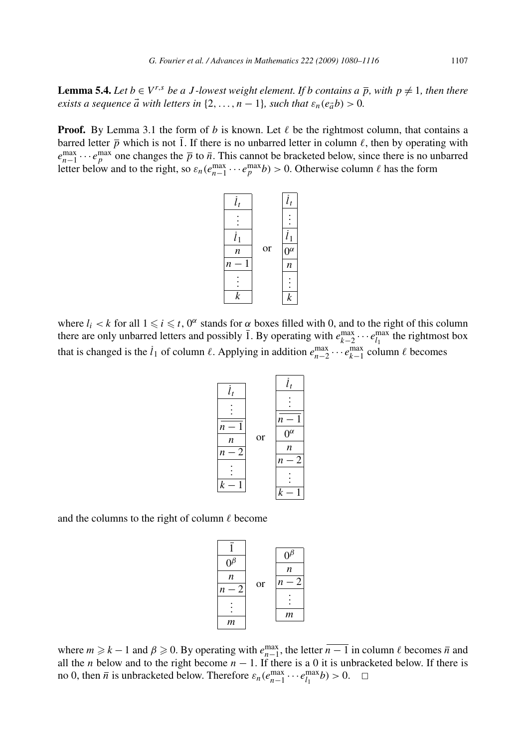**Lemma 5.4.** *Let*  $b \in V^{r,s}$  *be a J -lowest weight element. If b contains a*  $\overline{p}$ *, with*  $p \neq 1$ *, then there exists a sequence*  $\vec{a}$  *with letters in* {2*,...,n* − 1}*, such that*  $\varepsilon_n(e_{\vec{a}}b) > 0$ *.* 

**Proof.** By Lemma 3.1 the form of *b* is known. Let  $\ell$  be the rightmost column, that contains a barred letter  $\bar{p}$  which is not 1. If there is no unbarred letter in column  $\ell$ , then by operating with  $e_{n-1}^{\max} \cdots e_p^{\max}$  one changes the  $\overline{p}$  to  $\overline{n}$ . This cannot be bracketed below, since there is no unbarred letter below and to the right, so  $\varepsilon_n(e_{n-1}^{\max}\cdots e_p^{\max}b) > 0$ . Otherwise column  $\ell$  has the form



where  $l_i < k$  for all  $1 \leq i \leq t$ ,  $0^\alpha$  stands for  $\alpha$  boxes filled with 0, and to the right of this column there are only unbarred letters and possibly  $\overline{1}$ . By operating with  $e_{k-2}^{\max} \cdots e_{l_1}^{\max}$  the rightmost box that is changed is the  $l_1$  of column  $\ell$ . Applying in addition  $e_{n-2}^{\max} \cdots e_{k-1}^{\max}$  column  $\ell$  becomes



and the columns to the right of column  $\ell$  become



where  $m \geq k - 1$  and  $\beta \geq 0$ . By operating with  $e_{n-1}^{\max}$ , the letter  $\overline{n-1}$  in column  $\ell$  becomes  $\overline{n}$  and all the *n* below and to the right become  $n - 1$ . If there is a 0 it is unbracketed below. If there is no 0, then  $\bar{n}$  is unbracketed below. Therefore  $\varepsilon_n(e_{n-1}^{\max} \cdots e_{l_1}^{\max} b) > 0$ .  $\Box$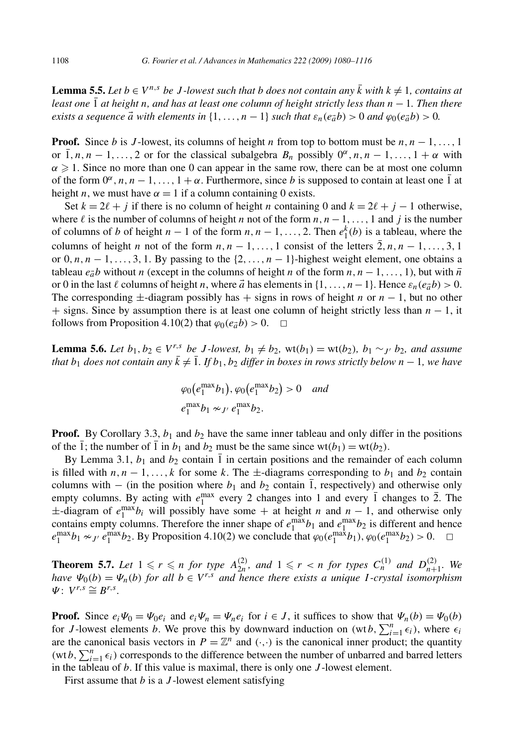**Lemma 5.5.** Let  $b \in V^{n,s}$  be J-lowest such that b does not contain any  $\overline{k}$  with  $k \neq 1$ , contains at *least one* 1 *at height n, and has at least one column of height strictly less than n* − 1*. Then there exists a sequence*  $\vec{a}$  *with elements in* {1*,...,n* − 1} *such that*  $\varepsilon_n(e_{\vec{a}}b) > 0$  *and*  $\varphi_0(e_{\vec{a}}b) > 0$ .

**Proof.** Since *b* is *J*-lowest, its columns of height *n* from top to bottom must be  $n, n-1, \ldots, 1$ or  $\overline{1}, n, n-1, \ldots, 2$  or for the classical subalgebra  $B_n$  possibly  $0^\alpha, n, n-1, \ldots, 1+\alpha$  with  $\alpha \geq 1$ . Since no more than one 0 can appear in the same row, there can be at most one column of the form  $0^\alpha$ , n, n – 1,..., 1 +  $\alpha$ . Furthermore, since *b* is supposed to contain at least one  $\overline{1}$  at height *n*, we must have  $\alpha = 1$  if a column containing 0 exists.

Set  $k = 2\ell + j$  if there is no column of height *n* containing 0 and  $k = 2\ell + j - 1$  otherwise, where  $\ell$  is the number of columns of height *n* not of the form  $n, n-1, \ldots, 1$  and *j* is the number of columns of *b* of height  $n-1$  of the form  $n, n-1, \ldots, 2$ . Then  $e_1^k(b)$  is a tableau, where the columns of height *n* not of the form  $n, n-1, \ldots, 1$  consist of the letters  $\overline{2}, n, n-1, \ldots, 3, 1$ or  $0, n, n-1, \ldots, 3, 1$ . By passing to the  $\{2, \ldots, n-1\}$ -highest weight element, one obtains a tableau  $e_{\vec{a}}b$  without *n* (except in the columns of height *n* of the form  $n, n-1, \ldots, 1$ ), but with  $\overline{n}$ or 0 in the last  $\ell$  columns of height *n*, where  $\vec{a}$  has elements in {1,..., *n* − 1}. Hence  $\varepsilon_n(e_{\vec{a}}b) > 0$ . The corresponding  $\pm$ -diagram possibly has  $+$  signs in rows of height *n* or *n* − 1, but no other + signs. Since by assumption there is at least one column of height strictly less than *n* − 1, it follows from Proposition 4.10(2) that  $\varphi_0(e_a^b) > 0$ .  $\Box$ 

**Lemma 5.6.** Let  $b_1, b_2 \in V^{r,s}$  be J-lowest,  $b_1 \neq b_2$ ,  $wt(b_1) = wt(b_2), b_1 \sim_{J'} b_2$ , and assume *that*  $b_1$  *does not contain any*  $\overline{k} \neq \overline{1}$ *. If*  $b_1$ *,*  $b_2$  *differ in boxes in rows strictly below*  $n-1$ *, we have* 

$$
\varphi_0\big(e_1^{\max}b_1\big), \varphi_0\big(e_1^{\max}b_2\big) > 0 \quad \text{and} \quad e_1^{\max}b_1 \sim_{J'} e_1^{\max}b_2.
$$

**Proof.** By Corollary 3.3,  $b_1$  and  $b_2$  have the same inner tableau and only differ in the positions of the  $\overline{1}$ ; the number of  $\overline{1}$  in  $b_1$  and  $b_2$  must be the same since wt $(b_1) = \text{wt}(b_2)$ .

By Lemma 3.1,  $b_1$  and  $b_2$  contain 1 in certain positions and the remainder of each column is filled with  $n, n-1, \ldots, k$  for some k. The  $\pm$ -diagrams corresponding to  $b_1$  and  $b_2$  contain columns with  $-$  (in the position where  $b_1$  and  $b_2$  contain 1, respectively) and otherwise only empty columns. By acting with  $e_1^{\text{max}}$  every 2 changes into 1 and every  $\overline{1}$  changes to  $\overline{2}$ . The  $\pm$ -diagram of  $e_1^{\text{max}}b_i$  will possibly have some + at height *n* and *n* − 1, and otherwise only contains empty columns. Therefore the inner shape of  $e_1^{\max}b_1$  and  $e_1^{\max}b_2$  is different and hence  $e_1^{\max}b_1 \approx J$   $e_1^{\max}b_2$ . By Proposition 4.10(2) we conclude that  $\varphi_0(e_1^{\max}b_1), \varphi_0(e_1^{\max}b_2) > 0$ .  $\Box$ 

**Theorem 5.7.** Let  $1 \leq r \leq n$  for type  $A_{2n}^{(2)}$ , and  $1 \leq r < n$  for types  $C_n^{(1)}$  and  $D_{n+1}^{(2)}$ . We *have*  $\Psi_0(b) = \Psi_n(b)$  *for all*  $b \in V^{r,s}$  *and hence there exists a unique I*-crystal *isomorphism*  $\Psi: V^{r,s} \cong B^{r,s}.$ 

**Proof.** Since  $e_i\Psi_0 = \Psi_0e_i$  and  $e_i\Psi_n = \Psi_ne_i$  for  $i \in J$ , it suffices to show that  $\Psi_n(b) = \Psi_0(b)$ for *J*-lowest elements *b*. We prove this by downward induction on  $(wtb, \sum_{i=1}^{n} \epsilon_i)$ , where  $\epsilon_i$ are the canonical basis vectors in  $P = \mathbb{Z}^n$  and  $(\cdot, \cdot)$  is the canonical inner product; the quantity (wt*b*,  $\sum_{i=1}^{n} \epsilon_i$ ) corresponds to the difference between the number of unbarred and barred letters in the tableau of *b*. If this value is maximal, there is only one *J* -lowest element.

First assume that *b* is a *J* -lowest element satisfying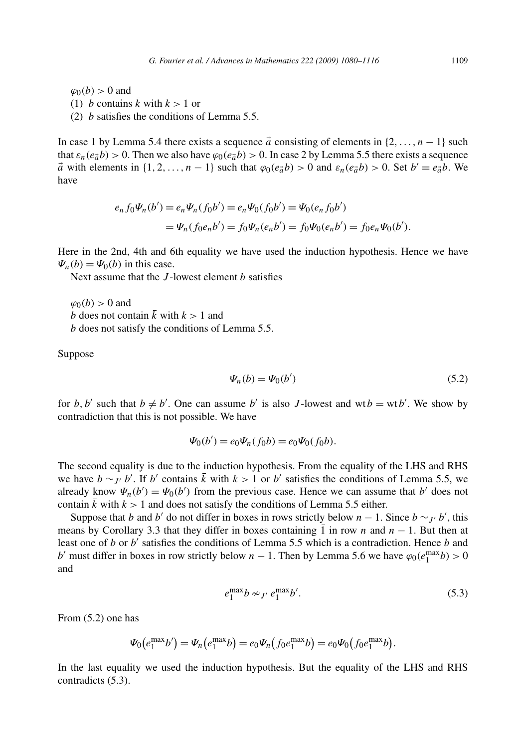$\varphi_0(b) > 0$  and (1) *b* contains  $\overline{k}$  with  $k > 1$  or (2) *b* satisfies the conditions of Lemma 5.5.

In case 1 by Lemma 5.4 there exists a sequence  $\vec{a}$  consisting of elements in  $\{2, \ldots, n-1\}$  such that  $\varepsilon_n(e_{\vec{a}}b) > 0$ . Then we also have  $\varphi_0(e_{\vec{a}}b) > 0$ . In case 2 by Lemma 5.5 there exists a sequence *a* with elements in  $\{1, 2, ..., n-1\}$  such that  $\varphi_0(e_{\vec{a}}b) > 0$  and  $\varepsilon_n(e_{\vec{a}}b) > 0$ . Set  $b' = e_{\vec{a}}b$ . We have

$$
e_n f_0 \Psi_n(b') = e_n \Psi_n(f_0 b') = e_n \Psi_0(f_0 b') = \Psi_0(e_n f_0 b')
$$
  
= 
$$
\Psi_n(f_0 e_n b') = f_0 \Psi_n(e_n b') = f_0 \Psi_0(e_n b') = f_0 e_n \Psi_0(b').
$$

Here in the 2nd, 4th and 6th equality we have used the induction hypothesis. Hence we have  $\Psi_n(b) = \Psi_0(b)$  in this case.

Next assume that the *J* -lowest element *b* satisfies

 $\varphi_0(b) > 0$  and *b* does not contain  $\overline{k}$  with  $k > 1$  and *b* does not satisfy the conditions of Lemma 5.5.

Suppose

$$
\Psi_n(b) = \Psi_0(b') \tag{5.2}
$$

for *b*, *b'* such that  $b \neq b'$ . One can assume *b'* is also *J*-lowest and wt $b = \text{wt } b'$ . We show by contradiction that this is not possible. We have

$$
\Psi_0(b') = e_0 \Psi_n(f_0 b) = e_0 \Psi_0(f_0 b).
$$

The second equality is due to the induction hypothesis. From the equality of the LHS and RHS we have  $b \sim_{J'} b'$ . If *b'* contains  $\bar{k}$  with  $k > 1$  or *b'* satisfies the conditions of Lemma 5.5, we already know  $\Psi_n(b') = \Psi_0(b')$  from the previous case. Hence we can assume that *b'* does not contain  $\bar{k}$  with  $k > 1$  and does not satisfy the conditions of Lemma 5.5 either.

Suppose that *b* and *b'* do not differ in boxes in rows strictly below *n* − 1. Since  $b \sim_{J'} b'$ , this means by Corollary 3.3 that they differ in boxes containing 1 in row *n* and *n* − 1. But then at least one of *b* or *b'* satisfies the conditions of Lemma 5.5 which is a contradiction. Hence *b* and *b*' must differ in boxes in row strictly below *n* − 1. Then by Lemma 5.6 we have  $\varphi_0(e_1^{\max}b) > 0$ and

$$
e_1^{\max}b \sim_{J'} e_1^{\max}b'.
$$
\n
$$
(5.3)
$$

From (5.2) one has

$$
\Psi_0(e_1^{\max}b') = \Psi_n(e_1^{\max}b) = e_0\Psi_n(f_0e_1^{\max}b) = e_0\Psi_0(f_0e_1^{\max}b).
$$

In the last equality we used the induction hypothesis. But the equality of the LHS and RHS contradicts (5.3).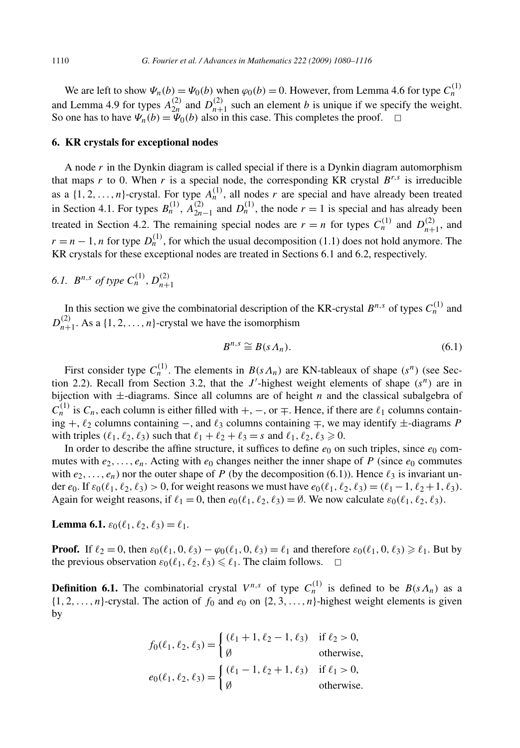We are left to show  $\Psi_n(b) = \Psi_0(b)$  when  $\varphi_0(b) = 0$ . However, from Lemma 4.6 for type  $C_n^{(1)}$ and Lemma 4.9 for types  $A_{2n}^{(2)}$  and  $D_{n+1}^{(2)}$  such an element *b* is unique if we specify the weight. So one has to have  $\Psi_n(b) = \Psi_0(b)$  also in this case. This completes the proof.  $\Box$ 

#### **6. KR crystals for exceptional nodes**

A node *r* in the Dynkin diagram is called special if there is a Dynkin diagram automorphism that maps  $r$  to 0. When  $r$  is a special node, the corresponding KR crystal  $B^{r,s}$  is irreducible as a  $\{1, 2, \ldots, n\}$ -crystal. For type  $A_n^{(1)}$ , all nodes *r* are special and have already been treated in Section 4.1. For types  $B_n^{(1)}$ ,  $A_{2n-1}^{(2)}$  and  $D_n^{(1)}$ , the node  $r = 1$  is special and has already been treated in Section 4.2. The remaining special nodes are  $r = n$  for types  $C_n^{(1)}$  and  $D_{n+1}^{(2)}$ , and  $r = n - 1$ , *n* for type  $D_n^{(1)}$ , for which the usual decomposition (1.1) does not hold anymore. The KR crystals for these exceptional nodes are treated in Sections 6.1 and 6.2, respectively.

### *6.1.*  $B^{n,s}$  *of type*  $C_n^{(1)}$ ,  $D_{n+1}^{(2)}$

In this section we give the combinatorial description of the KR-crystal  $B^{n,s}$  of types  $C_n^{(1)}$  and  $D_{n+1}^{(2)}$ . As a {1, 2, ..., *n*}-crystal we have the isomorphism

$$
B^{n,s} \cong B(s\Lambda_n). \tag{6.1}
$$

First consider type  $C_n^{(1)}$ . The elements in  $B(s \Lambda_n)$  are KN-tableaux of shape  $(s^n)$  (see Section 2.2). Recall from Section 3.2, that the  $J'$ -highest weight elements of shape  $(s^n)$  are in bijection with  $\pm$ -diagrams. Since all columns are of height *n* and the classical subalgebra of  $C^{(1)}_n$  is  $C_n$ , each column is either filled with  $+$ ,  $-$ , or  $\mp$ . Hence, if there are  $\ell_1$  columns containing +, <sup>2</sup> columns containing −, and <sup>3</sup> columns containing ∓, we may identify ±-diagrams *P* with triples  $(\ell_1, \ell_2, \ell_3)$  such that  $\ell_1 + \ell_2 + \ell_3 = s$  and  $\ell_1, \ell_2, \ell_3 \ge 0$ .

In order to describe the affine structure, it suffices to define  $e_0$  on such triples, since  $e_0$  commutes with  $e_2, \ldots, e_n$ . Acting with  $e_0$  changes neither the inner shape of P (since  $e_0$  commutes with  $e_2, \ldots, e_n$ ) nor the outer shape of *P* (by the decomposition (6.1)). Hence  $\ell_3$  is invariant under  $e_0$ . If  $\varepsilon_0(\ell_1, \ell_2, \ell_3) > 0$ , for weight reasons we must have  $e_0(\ell_1, \ell_2, \ell_3) = (\ell_1 - 1, \ell_2 + 1, \ell_3)$ . Again for weight reasons, if  $\ell_1 = 0$ , then  $e_0(\ell_1, \ell_2, \ell_3) = \emptyset$ . We now calculate  $\varepsilon_0(\ell_1, \ell_2, \ell_3)$ .

**Lemma 6.1.**  $\varepsilon_0(\ell_1, \ell_2, \ell_3) = \ell_1$ .

**Proof.** If  $\ell_2 = 0$ , then  $\varepsilon_0(\ell_1, 0, \ell_3) - \varphi_0(\ell_1, 0, \ell_3) = \ell_1$  and therefore  $\varepsilon_0(\ell_1, 0, \ell_3) \geq \ell_1$ . But by the previous observation  $\varepsilon_0(\ell_1, \ell_2, \ell_3) \leq \ell_1$ . The claim follows.  $\Box$ 

**Definition 6.1.** The combinatorial crystal  $V^{n,s}$  of type  $C_n^{(1)}$  is defined to be  $B(s\Lambda_n)$  as a  $\{1, 2, \ldots, n\}$ -crystal. The action of  $f_0$  and  $e_0$  on  $\{2, 3, \ldots, n\}$ -highest weight elements is given by

$$
f_0(\ell_1, \ell_2, \ell_3) = \begin{cases} (\ell_1 + 1, \ell_2 - 1, \ell_3) & \text{if } \ell_2 > 0, \\ \emptyset & \text{otherwise,} \end{cases}
$$
  

$$
e_0(\ell_1, \ell_2, \ell_3) = \begin{cases} (\ell_1 - 1, \ell_2 + 1, \ell_3) & \text{if } \ell_1 > 0, \\ \emptyset & \text{otherwise.} \end{cases}
$$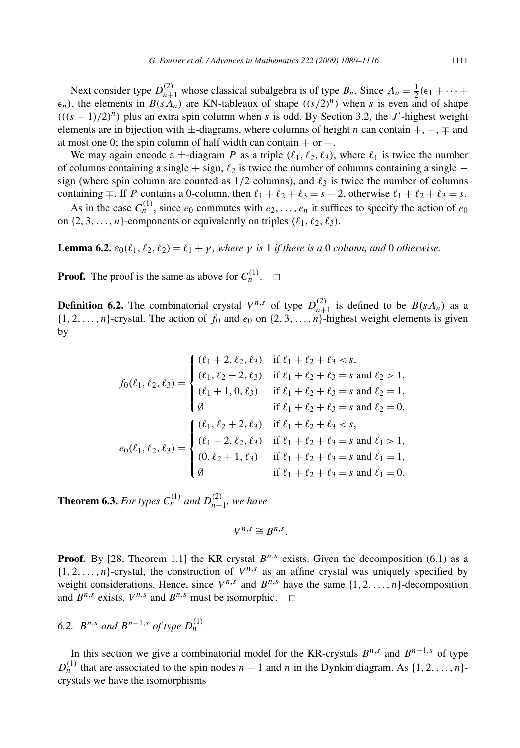Next consider type  $D_{n+1}^{(2)}$  whose classical subalgebra is of type  $B_n$ . Since  $\Lambda_n = \frac{1}{2}(\epsilon_1 + \cdots + \epsilon_n)$  $\epsilon_n$ ), the elements in *B(sA<sub>n</sub>)* are KN-tableaux of shape  $((s/2)^n)$  when *s* is even and of shape  $(((s-1)/2)^n)$  plus an extra spin column when *s* is odd. By Section 3.2, the *J*'-highest weight elements are in bijection with ±-diagrams, where columns of height *n* can contain +, −, ∓ and at most one 0; the spin column of half width can contain  $+$  or  $-$ .

We may again encode a  $\pm$ -diagram *P* as a triple  $(\ell_1, \ell_2, \ell_3)$ , where  $\ell_1$  is twice the number of columns containing a single  $+$  sign,  $\ell_2$  is twice the number of columns containing a single  $$ sign (where spin column are counted as  $1/2$  columns), and  $\ell_3$  is twice the number of columns containing  $\mp$ . If *P* contains a 0-column, then  $\ell_1 + \ell_2 + \ell_3 = s - 2$ , otherwise  $\ell_1 + \ell_2 + \ell_3 = s$ .

As in the case  $C_n^{(1)}$ , since  $e_0$  commutes with  $e_2, \ldots, e_n$  it suffices to specify the action of  $e_0$ on  $\{2, 3, \ldots, n\}$ -components or equivalently on triples  $(\ell_1, \ell_2, \ell_3)$ .

**Lemma 6.2.**  $\varepsilon_0(\ell_1, \ell_2, \ell_2) = \ell_1 + \gamma$ , where  $\gamma$  is 1 if there is a 0 column, and 0 otherwise.

**Proof.** The proof is the same as above for  $C_n^{(1)}$ .  $\Box$ 

**Definition 6.2.** The combinatorial crystal  $V^{n,s}$  of type  $D_{n+1}^{(2)}$  is defined to be  $B(s\Lambda_n)$  as a  $\{1, 2, \ldots, n\}$ -crystal. The action of  $f_0$  and  $e_0$  on  $\{2, 3, \ldots, n\}$ -highest weight elements is given by

$$
f_0(\ell_1, \ell_2, \ell_3) = \begin{cases} (\ell_1 + 2, \ell_2, \ell_3) & \text{if } \ell_1 + \ell_2 + \ell_3 < s, \\ (\ell_1, \ell_2 - 2, \ell_3) & \text{if } \ell_1 + \ell_2 + \ell_3 = s \text{ and } \ell_2 > 1, \\ (\ell_1 + 1, 0, \ell_3) & \text{if } \ell_1 + \ell_2 + \ell_3 = s \text{ and } \ell_2 = 1, \\ \emptyset & \text{if } \ell_1 + \ell_2 + \ell_3 = s \text{ and } \ell_2 = 0, \\ (\ell_1, \ell_2 + 2, \ell_3) & \text{if } \ell_1 + \ell_2 + \ell_3 < s, \\ (\ell_1 - 2, \ell_2, \ell_3) & \text{if } \ell_1 + \ell_2 + \ell_3 = s \text{ and } \ell_1 > 1, \\ (0, \ell_2 + 1, \ell_3) & \text{if } \ell_1 + \ell_2 + \ell_3 = s \text{ and } \ell_1 = 1, \\ \emptyset & \text{if } \ell_1 + \ell_2 + \ell_3 = s \text{ and } \ell_1 = 0. \end{cases}
$$

**Theorem 6.3.** For types  $C_n^{(1)}$  and  $D_{n+1}^{(2)}$ , we have

$$
V^{n,s}\cong B^{n,s}.
$$

**Proof.** By [28, Theorem 1.1] the KR crystal  $B^{n,s}$  exists. Given the decomposition (6.1) as a  $\{1, 2, \ldots, n\}$ -crystal, the construction of  $V^{n,s}$  as an affine crystal was uniquely specified by weight considerations. Hence, since  $V^{n,s}$  and  $B^{n,s}$  have the same  $\{1, 2, \ldots, n\}$ -decomposition and  $B^{n,s}$  exists,  $V^{n,s}$  and  $B^{n,s}$  must be isomorphic.  $\Box$ 

6.2. 
$$
B^{n,s}
$$
 and  $B^{n-1,s}$  of type  $D_n^{(1)}$ 

In this section we give a combinatorial model for the KR-crystals  $B^{n,s}$  and  $B^{n-1,s}$  of type  $D<sub>n</sub><sup>(1)</sup>$  that are associated to the spin nodes *n* − 1 and *n* in the Dynkin diagram. As {1*,* 2*,...,n*}crystals we have the isomorphisms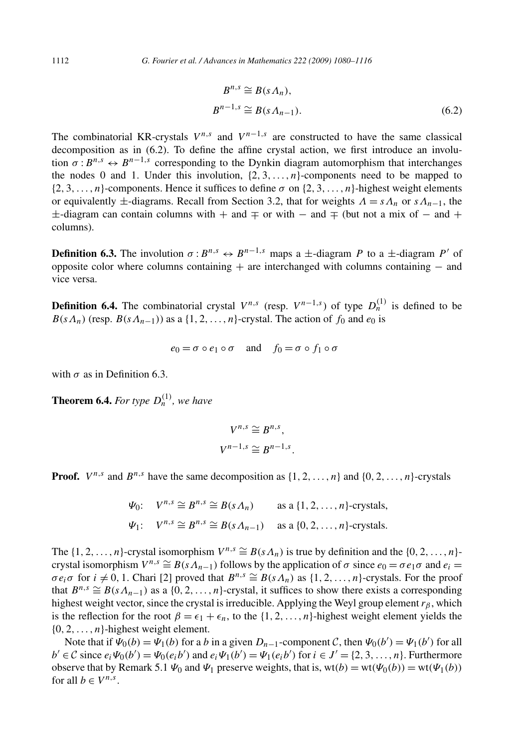$$
B^{n,s} \cong B(s \Lambda_n),
$$
  
\n
$$
B^{n-1,s} \cong B(s \Lambda_{n-1}).
$$
\n(6.2)

The combinatorial KR-crystals  $V^{n,s}$  and  $V^{n-1,s}$  are constructed to have the same classical decomposition as in (6.2). To define the affine crystal action, we first introduce an involution  $\sigma: B^{n,s} \leftrightarrow B^{n-1,s}$  corresponding to the Dynkin diagram automorphism that interchanges the nodes 0 and 1. Under this involution,  $\{2, 3, \ldots, n\}$ -components need to be mapped to  $\{2, 3, \ldots, n\}$ -components. Hence it suffices to define  $\sigma$  on  $\{2, 3, \ldots, n\}$ -highest weight elements or equivalently  $\pm$ -diagrams. Recall from Section 3.2, that for weights  $\Lambda = s\Lambda_n$  or  $s\Lambda_{n-1}$ , the  $\pm$ -diagram can contain columns with  $+$  and  $\mp$  or with  $-$  and  $\mp$  (but not a mix of  $-$  and  $+$ columns).

**Definition 6.3.** The involution  $\sigma: B^{n,s} \leftrightarrow B^{n-1,s}$  maps a  $\pm$ -diagram *P* to a  $\pm$ -diagram *P'* of opposite color where columns containing  $+$  are interchanged with columns containing  $-$  and vice versa.

**Definition 6.4.** The combinatorial crystal  $V^{n,s}$  (resp.  $V^{n-1,s}$ ) of type  $D_n^{(1)}$  is defined to be  $B(s\Lambda_n)$  (resp.  $B(s\Lambda_{n-1})$ ) as a {1, 2, ..., *n*}-crystal. The action of *f*<sub>0</sub> and *e*<sub>0</sub> is

$$
e_0 = \sigma \circ e_1 \circ \sigma \quad \text{and} \quad f_0 = \sigma \circ f_1 \circ \sigma
$$

with  $\sigma$  as in Definition 6.3.

**Theorem 6.4.** *For type*  $D_n^{(1)}$ *, we have* 

$$
V^{n,s} \cong B^{n,s},
$$
  

$$
V^{n-1,s} \cong B^{n-1,s}.
$$

**Proof.**  $V^{n,s}$  and  $B^{n,s}$  have the same decomposition as  $\{1, 2, \ldots, n\}$  and  $\{0, 2, \ldots, n\}$ -crystals

$$
\Psi_0: \quad V^{n,s} \cong B^{n,s} \cong B(s\Lambda_n) \quad \text{as a } \{1,2,\ldots,n\} \text{-crystals},
$$
  

$$
\Psi_1: \quad V^{n,s} \cong B^{n,s} \cong B(s\Lambda_{n-1}) \quad \text{as a } \{0,2,\ldots,n\} \text{-crystals}.
$$

The  $\{1, 2, \ldots, n\}$ -crystal isomorphism  $V^{n,s} \cong B(s\Lambda_n)$  is true by definition and the  $\{0, 2, \ldots, n\}$ crystal isomorphism  $V^{n,s} \cong B(s\Lambda_{n-1})$  follows by the application of  $\sigma$  since  $e_0 = \sigma e_1 \sigma$  and  $e_i =$  $\sigma e_i \sigma$  for  $i \neq 0, 1$ . Chari [2] proved that  $B^{n,s} \cong B(s \Lambda_n)$  as  $\{1, 2, \ldots, n\}$ -crystals. For the proof that  $B^{n,s} \cong B(s\Lambda_{n-1})$  as a {0, 2, ..., *n*}-crystal, it suffices to show there exists a corresponding highest weight vector, since the crystal is irreducible. Applying the Weyl group element  $r<sub>\beta</sub>$ , which is the reflection for the root  $\beta = \epsilon_1 + \epsilon_n$ , to the {1, 2, ..., n}-highest weight element yields the {0*,* 2*,...,n*}-highest weight element.

Note that if  $\Psi_0(b) = \Psi_1(b)$  for a *b* in a given  $D_{n-1}$ -component *C*, then  $\Psi_0(b') = \Psi_1(b')$  for all  $b' \in \mathcal{C}$  since  $e_i \Psi_0(b') = \Psi_0(e_i b')$  and  $e_i \Psi_1(b') = \Psi_1(e_i b')$  for  $i \in J' = \{2, 3, ..., n\}$ . Furthermore observe that by Remark 5.1  $\Psi_0$  and  $\Psi_1$  preserve weights, that is, wt $(b) = \text{wt}(\Psi_0(b)) = \text{wt}(\Psi_1(b))$ for all  $b \in V^{n,s}$ .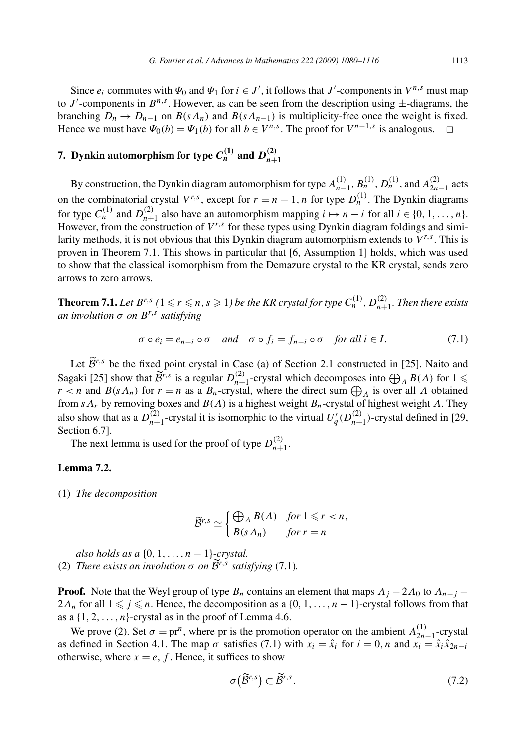Since  $e_i$  commutes with  $\Psi_0$  and  $\Psi_1$  for  $i \in J'$ , it follows that  $J'$ -components in  $V^{n,s}$  must map to  $J'$ -components in  $B^{n,s}$ . However, as can be seen from the description using  $\pm$ -diagrams, the branching  $D_n \to D_{n-1}$  on  $B(s\Lambda_n)$  and  $B(s\Lambda_{n-1})$  is multiplicity-free once the weight is fixed. Hence we must have  $\Psi_0(b) = \Psi_1(b)$  for all  $b \in V^{n,s}$ . The proof for  $V^{n-1,s}$  is analogous.

# **7.** Dynkin automorphism for type  $C_n^{(1)}$  and  $D_{n+1}^{(2)}$

By construction, the Dynkin diagram automorphism for type  $A_{n-1}^{(1)}$ ,  $B_n^{(1)}$ ,  $D_n^{(1)}$ , and  $A_{2n-1}^{(2)}$  acts on the combinatorial crystal  $V^{r,s}$ , except for  $r = n - 1$ , *n* for type  $D_n^{(1)}$ . The Dynkin diagrams for type  $C_n^{(1)}$  and  $D_{n+1}^{(2)}$  also have an automorphism mapping  $i \mapsto n-i$  for all  $i \in \{0, 1, ..., n\}$ . However, from the construction of  $V^{r,s}$  for these types using Dynkin diagram foldings and similarity methods, it is not obvious that this Dynkin diagram automorphism extends to  $V^{r,s}$ . This is proven in Theorem 7.1. This shows in particular that [6, Assumption 1] holds, which was used to show that the classical isomorphism from the Demazure crystal to the KR crystal, sends zero arrows to zero arrows.

**Theorem 7.1.** Let  $B^{r,s}$  ( $1 \leqslant r \leqslant n, s \geqslant 1$ ) be the KR crystal for type  $C_n^{(1)}$ ,  $D_{n+1}^{(2)}$ . Then there exists *an involution σ on Br,s satisfying*

$$
\sigma \circ e_i = e_{n-i} \circ \sigma \quad \text{and} \quad \sigma \circ f_i = f_{n-i} \circ \sigma \quad \text{for all } i \in I. \tag{7.1}
$$

Let  $\tilde{\mathcal{B}}^{r,s}$  be the fixed point crystal in Case (a) of Section 2.1 constructed in [25]. Naito and Sagaki [25] show that  $\widetilde{B}^{r,s}$  is a regular  $D_{n+1}^{(2)}$ -crystal which decomposes into  $\bigoplus_{A} B(A)$  for  $1 \leq$ *r* < *n* and *B*(*sΛ<sub>n</sub>*) for *r* = *n* as a *B<sub>n</sub>*-crystal, where the direct sum  $\bigoplus_{\Lambda}$  is over all  $\Lambda$  obtained from *sΛr* by removing boxes and *B(Λ)* is a highest weight *Bn*-crystal of highest weight *Λ*. They also show that as a  $D_{n+1}^{(2)}$ -crystal it is isomorphic to the virtual  $U'_q(D_{n+1}^{(2)})$ -crystal defined in [29, Section 6.7].

The next lemma is used for the proof of type  $D_{n+1}^{(2)}$ .

#### **Lemma 7.2.**

(1) *The decomposition*

$$
\widetilde{\mathcal{B}}^{r,s} \simeq \begin{cases} \bigoplus_{A} B(A) & \text{for } 1 \leq r < n, \\ B(s \Lambda_n) & \text{for } r = n \end{cases}
$$

*also holds as a* {0*,* 1*,...,n* − 1}*-crystal.* (2) *There exists an involution*  $\sigma$  *on*  $\widetilde{B}^{r,s}$  *satisfying* (7.1)*.* 

**Proof.** Note that the Weyl group of type  $B_n$  contains an element that maps  $\Lambda_j - 2\Lambda_0$  to  $\Lambda_{n-j}$  −  $2\Lambda_n$  for all  $1 \leq j \leq n$ . Hence, the decomposition as a  $\{0, 1, \ldots, n-1\}$ -crystal follows from that as a  $\{1, 2, \ldots, n\}$ -crystal as in the proof of Lemma 4.6.

We prove (2). Set  $\sigma = pr^n$ , where pr is the promotion operator on the ambient  $A_{2n-1}^{(1)}$ -crystal as defined in Section 4.1. The map  $\sigma$  satisfies (7.1) with  $x_i = \hat{x}_i$  for  $i = 0, n$  and  $\hat{x}_i = \hat{x}_i \hat{x}_{2n-i}$ otherwise, where  $x = e$ , f. Hence, it suffices to show

$$
\sigma\big(\widetilde{\mathcal{B}}^{r,s}\big) \subset \widetilde{\mathcal{B}}^{r,s}.\tag{7.2}
$$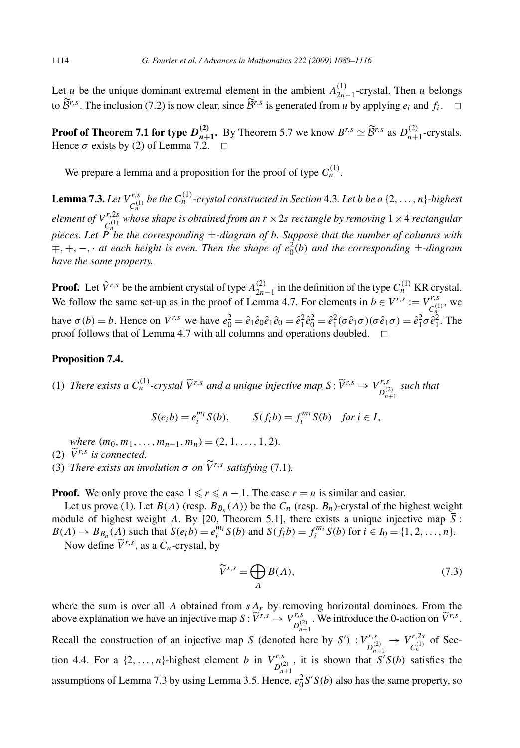Let *u* be the unique dominant extremal element in the ambient  $A_{2n-1}^{(1)}$ -crystal. Then *u* belongs to  $\tilde{\mathcal{B}}^{r,s}$ . The inclusion (7.2) is now clear, since  $\tilde{\mathcal{B}}^{r,s}$  is generated from *u* by applying  $e_i$  and  $f_i$ .  $\Box$ 

**Proof of Theorem 7.1 for type**  $D_{n+1}^{(2)}$ **.** By Theorem 5.7 we know  $B^{r,s} \simeq \widetilde{\mathcal{B}}^{r,s}$  as  $D_{n+1}^{(2)}$ -crystals. Hence  $\sigma$  exists by (2) of Lemma 7.2.  $\Box$ 

We prepare a lemma and a proposition for the proof of type  $C_n^{(1)}$ .

**Lemma 7.3.** Let  $V^{r,s}_{C_n^{(1)}}$  be the  $C_n^{(1)}$ -crystal constructed in Section 4.3. Let b be a  $\{2,\ldots,n\}$ -highest *element of*  $V^{r,2s}_{C_n}$  *whose shape is obtained from an*  $r \times 2s$  *rectangle by removing*  $1 \times 4$  *rectangular pieces. Let P be the corresponding* ±*-diagram of b. Suppose that the number of columns with* ∓*,*+*,*−*,*· *at each height is even. Then the shape of e*<sup>2</sup> <sup>0</sup>*(b) and the corresponding* ±*-diagram have the same property.*

**Proof.** Let  $\hat{V}^{r,s}$  be the ambient crystal of type  $A_{2n-1}^{(2)}$  in the definition of the type  $C_n^{(1)}$  KR crystal. We follow the same set-up as in the proof of Lemma 4.7. For elements in  $b \in V^{r,s} := V^{r,s}_{C_n^{(1)}}$ , we have  $\sigma(b) = b$ . Hence on  $V^{r,s}$  we have  $e_0^2 = \hat{e}_1 \hat{e}_0 \hat{e}_1 \hat{e}_0 = \hat{e}_1^2 \hat{e}_0^2 = \hat{e}_1^2 (\sigma \hat{e}_1 \sigma)(\sigma \hat{e}_1 \sigma) = \hat{e}_1^2 \sigma \hat{e}_1^2$ . The proof follows that of Lemma 4.7 with all columns and operations doubled.  $\Box$ 

#### **Proposition 7.4.**

(1) There exists a  $C_n^{(1)}$ -crystal  $\widetilde{V}^{r,s}$  and a unique injective map  $S: \widetilde{V}^{r,s} \to V^{r,s}_{\substack{D/2\\D_{n+1}}}$  such that

$$
S(e_i b) = e_i^{m_i} S(b), \qquad S(f_i b) = f_i^{m_i} S(b) \quad \text{for } i \in I,
$$

*where*  $(m_0, m_1, \ldots, m_{n-1}, m_n) = (2, 1, \ldots, 1, 2)$ *.* 

- (2)  $\widetilde{V}^{r,s}$  *is connected.*
- (3) *There exists an involution*  $\sigma$  *on*  $\tilde{V}^{r,s}$  *satisfying* (7.1)*.*

**Proof.** We only prove the case  $1 \le r \le n - 1$ . The case  $r = n$  is similar and easier.

Let us prove (1). Let  $B(\Lambda)$  (resp.  $B_{B_n}(\Lambda)$ ) be the  $C_n$  (resp.  $B_n$ )-crystal of the highest weight module of highest weight *Λ*. By [20, Theorem 5.1], there exists a unique injective map *S* :  $B(A) \to B_{B_n}(A)$  such that  $\overline{S}(e_i b) = e_i^{m_i} \overline{S}(b)$  and  $\overline{S}(f_i b) = f_i^{m_i} \overline{S}(b)$  for  $i \in I_0 = \{1, 2, ..., n\}.$ 

Now define  $\widetilde{V}^{r,s}$ , as a  $C_n$ -crystal, by

$$
\widetilde{V}^{r,s} = \bigoplus_{\Lambda} B(\Lambda),\tag{7.3}
$$

where the sum is over all *Λ* obtained from *sΛr* by removing horizontal dominoes. From the above explanation we have an injective map  $S: \widetilde{V}^{r,s} \to V^{r,s}_{D^{(2)}_{n+1}}$ . We introduce the 0-action on  $\widetilde{V}^{r,s}$ . Recall the construction of an injective map *S* (denoted here by *S'*) :  $V_{D_{n+1}}^{r,s} \rightarrow V_{C_n^{(1)}}^{r,2s}$  of Sec-<br> $D_{n+1}^{(2)}$ tion 4.4. For a  $\{2,\ldots,n\}$ -highest element *b* in  $V_{D_{n+1}^{(2)}}^{r,s}$ , it is shown that  $S'S(b)$  satisfies the assumptions of Lemma 7.3 by using Lemma 3.5. Hence,  $e_0^2 S' S(b)$  also has the same property, so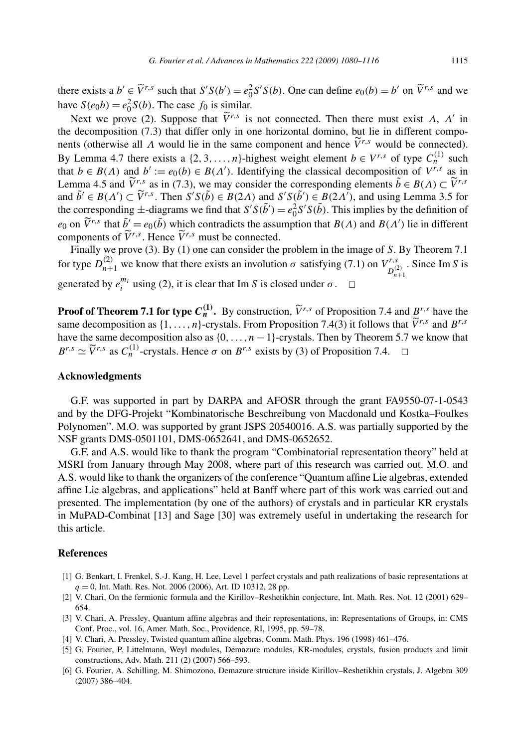there exists a  $b' \in \tilde{V}^{r,s}$  such that  $S'S(b') = e_0^2 S'S(b)$ . One can define  $e_0(b) = b'$  on  $\tilde{V}^{r,s}$  and we have  $S(e_0b) = e_0^2 S(b)$ . The case  $f_0$  is similar.

Next we prove (2). Suppose that  $\tilde{V}^{r,s}$  is not connected. Then there must exist *Λ*, *Λ'* in the decomposition (7.3) that differ only in one horizontal domino, but lie in different components (otherwise all  $\Lambda$  would lie in the same component and hence  $\tilde{V}^{r,s}$  would be connected). By Lemma 4.7 there exists a {2, 3, ...,n}-highest weight element  $b \in V^{r,s}$  of type  $C_n^{(1)}$  such that  $b \in B(\Lambda)$  and  $b' := e_0(b) \in B(\Lambda')$ . Identifying the classical decomposition of  $V^{r,s}$  as in Lemma 4.5 and  $\tilde{V}^{r,s}$  as in (7.3), we may consider the corresponding elements  $\tilde{b} \in B(\Lambda) \subset \tilde{V}^{r,s}$ and  $\tilde{b}' \in B(A') \subset \tilde{V}^{r,s}$ . Then  $S'S(\tilde{b}) \in B(2A)$  and  $S'S(\tilde{b}') \in B(2A')$ , and using Lemma 3.5 for the corresponding  $\pm$ -diagrams we find that  $S'S(\tilde{b}') = e_0^2 S'S(\tilde{b})$ . This implies by the definition of *e*<sub>0</sub> on  $\tilde{V}^{r,s}$  that  $\tilde{b}' = e_0(\tilde{b})$  which contradicts the assumption that *B(Λ)* and *B(Λ')* lie in different components of  $\widetilde{V}^{r,s}$ . Hence  $\widetilde{V}^{r,s}$  must be connected.

Finally we prove (3). By (1) one can consider the problem in the image of *S*. By Theorem 7.1 for type  $D_{n+1}^{(2)}$  we know that there exists an involution  $\sigma$  satisfying (7.1) on  $V_{D_{n+1}^{(2)}}^{r,s}$ . Since Im *S* is generated by  $e_i^{m_i}$  using (2), it is clear that Im *S* is closed under  $\sigma$ .  $\Box$ 

**Proof of Theorem 7.1 for type**  $C_n^{(1)}$ **.** By construction,  $\tilde{V}^{r,s}$  of Proposition 7.4 and  $B^{r,s}$  have the same decomposition as  $\{1, \ldots, n\}$ -crystals. From Proposition 7.4(3) it follows that  $\widetilde{V}^{r,s}$  and  $B^{r,s}$ have the same decomposition also as  $\{0, \ldots, n-1\}$ -crystals. Then by Theorem 5.7 we know that  $B^{r,s} \simeq \tilde{V}^{r,s}$  as  $C_n^{(1)}$ -crystals. Hence  $\sigma$  on  $B^{r,s}$  exists by (3) of Proposition 7.4.  $\Box$ 

#### **Acknowledgments**

G.F. was supported in part by DARPA and AFOSR through the grant FA9550-07-1-0543 and by the DFG-Projekt "Kombinatorische Beschreibung von Macdonald und Kostka–Foulkes Polynomen". M.O. was supported by grant JSPS 20540016. A.S. was partially supported by the NSF grants DMS-0501101, DMS-0652641, and DMS-0652652.

G.F. and A.S. would like to thank the program "Combinatorial representation theory" held at MSRI from January through May 2008, where part of this research was carried out. M.O. and A.S. would like to thank the organizers of the conference "Quantum affine Lie algebras, extended affine Lie algebras, and applications" held at Banff where part of this work was carried out and presented. The implementation (by one of the authors) of crystals and in particular KR crystals in MuPAD-Combinat [13] and Sage [30] was extremely useful in undertaking the research for this article.

#### **References**

- [1] G. Benkart, I. Frenkel, S.-J. Kang, H. Lee, Level 1 perfect crystals and path realizations of basic representations at *q* = 0, Int. Math. Res. Not. 2006 (2006), Art. ID 10312, 28 pp.
- [2] V. Chari, On the fermionic formula and the Kirillov–Reshetikhin conjecture, Int. Math. Res. Not. 12 (2001) 629– 654.
- [3] V. Chari, A. Pressley, Quantum affine algebras and their representations, in: Representations of Groups, in: CMS Conf. Proc., vol. 16, Amer. Math. Soc., Providence, RI, 1995, pp. 59–78.
- [4] V. Chari, A. Pressley, Twisted quantum affine algebras, Comm. Math. Phys. 196 (1998) 461–476.
- [5] G. Fourier, P. Littelmann, Weyl modules, Demazure modules, KR-modules, crystals, fusion products and limit constructions, Adv. Math. 211 (2) (2007) 566–593.
- [6] G. Fourier, A. Schilling, M. Shimozono, Demazure structure inside Kirillov–Reshetikhin crystals, J. Algebra 309 (2007) 386–404.